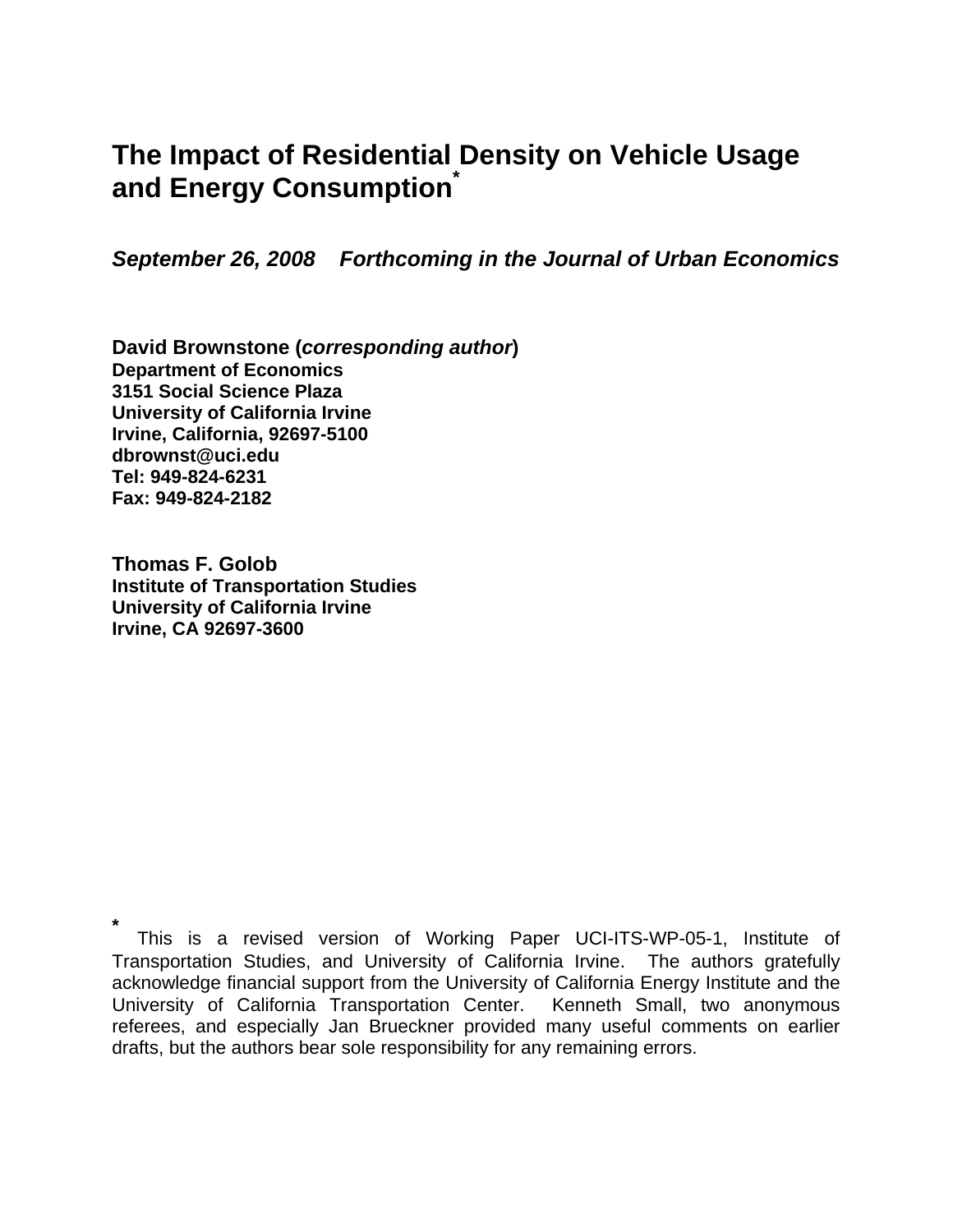# **The Impact of Residential Density on Vehicle Usage and Energy Consumption\***

*September 26, 2008 Forthcoming in the Journal of Urban Economics* 

**David Brownstone (***corresponding author***) Department of Economics 3151 Social Science Plaza University of California Irvine Irvine, California, 92697-5100 [dbrownst@uci.edu](mailto:dbrownst@uci.edu) Tel: 949-824-6231 Fax: 949-824-2182** 

**Thomas F. Golob Institute of Transportation Studies University of California Irvine Irvine, CA 92697-3600** 

**\*** This is a revised version of Working Paper UCI-ITS-WP-05-1, Institute of Transportation Studies, and University of California Irvine. The authors gratefully acknowledge financial support from the University of California Energy Institute and the University of California Transportation Center. Kenneth Small, two anonymous referees, and especially Jan Brueckner provided many useful comments on earlier drafts, but the authors bear sole responsibility for any remaining errors.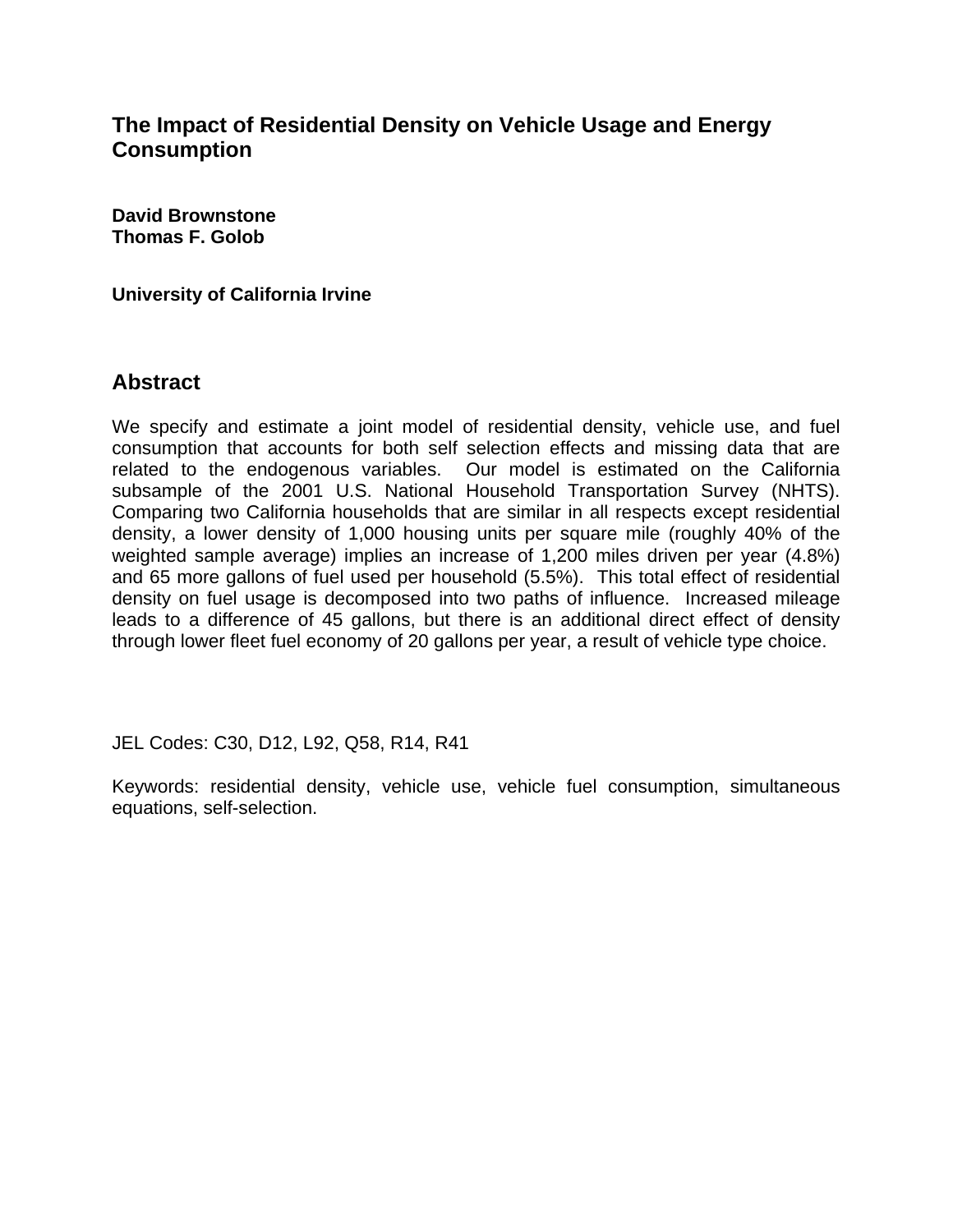# **The Impact of Residential Density on Vehicle Usage and Energy Consumption**

**David Brownstone Thomas F. Golob** 

**University of California Irvine** 

### **Abstract**

We specify and estimate a joint model of residential density, vehicle use, and fuel consumption that accounts for both self selection effects and missing data that are related to the endogenous variables. Our model is estimated on the California subsample of the 2001 U.S. National Household Transportation Survey (NHTS). Comparing two California households that are similar in all respects except residential density, a lower density of 1,000 housing units per square mile (roughly 40% of the weighted sample average) implies an increase of 1,200 miles driven per year (4.8%) and 65 more gallons of fuel used per household (5.5%). This total effect of residential density on fuel usage is decomposed into two paths of influence. Increased mileage leads to a difference of 45 gallons, but there is an additional direct effect of density through lower fleet fuel economy of 20 gallons per year, a result of vehicle type choice.

JEL Codes: C30, D12, L92, Q58, R14, R41

Keywords: residential density, vehicle use, vehicle fuel consumption, simultaneous equations, self-selection.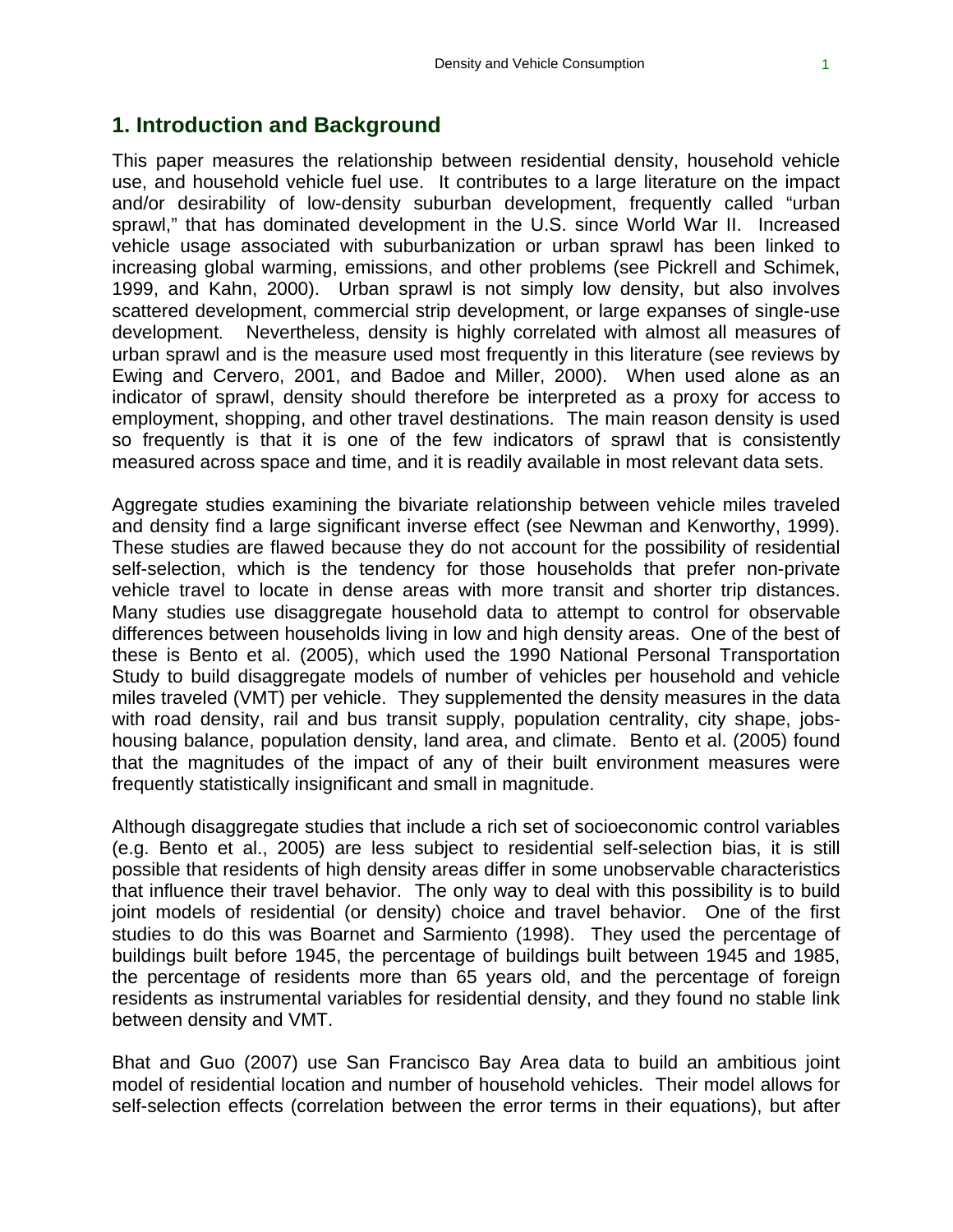# **1. Introduction and Background**

This paper measures the relationship between residential density, household vehicle use, and household vehicle fuel use. It contributes to a large literature on the impact and/or desirability of low-density suburban development, frequently called "urban sprawl," that has dominated development in the U.S. since World War II. Increased vehicle usage associated with suburbanization or urban sprawl has been linked to increasing global warming, emissions, and other problems (see Pickrell and Schimek, 1999, and Kahn, 2000). Urban sprawl is not simply low density, but also involves scattered development, commercial strip development, or large expanses of single-use development. Nevertheless, density is highly correlated with almost all measures of urban sprawl and is the measure used most frequently in this literature (see reviews by Ewing and Cervero, 2001, and Badoe and Miller, 2000). When used alone as an indicator of sprawl, density should therefore be interpreted as a proxy for access to employment, shopping, and other travel destinations. The main reason density is used so frequently is that it is one of the few indicators of sprawl that is consistently measured across space and time, and it is readily available in most relevant data sets.

Aggregate studies examining the bivariate relationship between vehicle miles traveled and density find a large significant inverse effect (see Newman and Kenworthy, 1999). These studies are flawed because they do not account for the possibility of residential self-selection, which is the tendency for those households that prefer non-private vehicle travel to locate in dense areas with more transit and shorter trip distances. Many studies use disaggregate household data to attempt to control for observable differences between households living in low and high density areas. One of the best of these is Bento et al. (2005), which used the 1990 National Personal Transportation Study to build disaggregate models of number of vehicles per household and vehicle miles traveled (VMT) per vehicle. They supplemented the density measures in the data with road density, rail and bus transit supply, population centrality, city shape, jobshousing balance, population density, land area, and climate. Bento et al. (2005) found that the magnitudes of the impact of any of their built environment measures were frequently statistically insignificant and small in magnitude.

Although disaggregate studies that include a rich set of socioeconomic control variables (e.g. Bento et al., 2005) are less subject to residential self-selection bias, it is still possible that residents of high density areas differ in some unobservable characteristics that influence their travel behavior. The only way to deal with this possibility is to build joint models of residential (or density) choice and travel behavior. One of the first studies to do this was Boarnet and Sarmiento (1998). They used the percentage of buildings built before 1945, the percentage of buildings built between 1945 and 1985, the percentage of residents more than 65 years old, and the percentage of foreign residents as instrumental variables for residential density, and they found no stable link between density and VMT.

Bhat and Guo (2007) use San Francisco Bay Area data to build an ambitious joint model of residential location and number of household vehicles. Their model allows for self-selection effects (correlation between the error terms in their equations), but after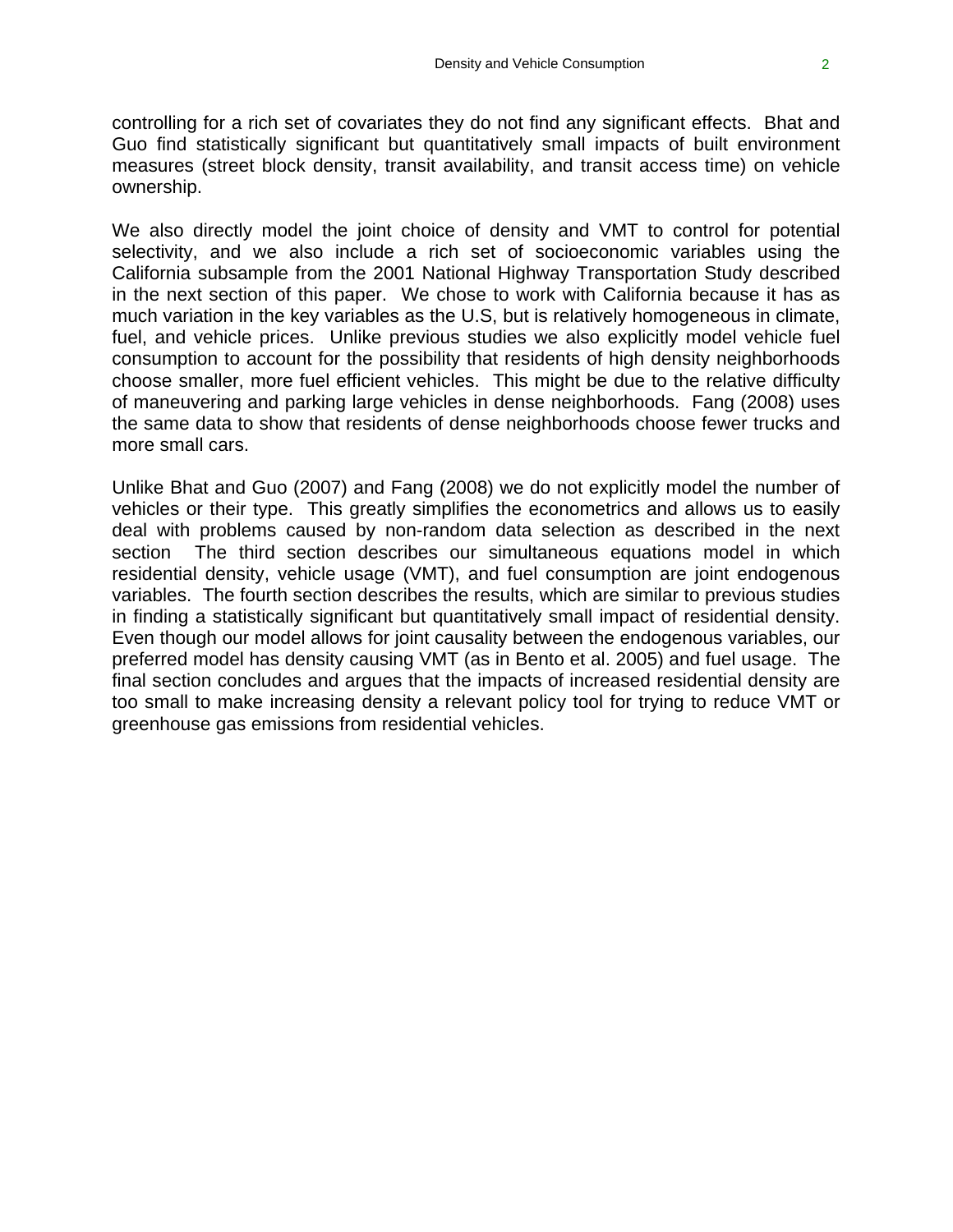controlling for a rich set of covariates they do not find any significant effects. Bhat and Guo find statistically significant but quantitatively small impacts of built environment measures (street block density, transit availability, and transit access time) on vehicle ownership.

We also directly model the joint choice of density and VMT to control for potential selectivity, and we also include a rich set of socioeconomic variables using the California subsample from the 2001 National Highway Transportation Study described in the next section of this paper. We chose to work with California because it has as much variation in the key variables as the U.S, but is relatively homogeneous in climate, fuel, and vehicle prices. Unlike previous studies we also explicitly model vehicle fuel consumption to account for the possibility that residents of high density neighborhoods choose smaller, more fuel efficient vehicles. This might be due to the relative difficulty of maneuvering and parking large vehicles in dense neighborhoods. Fang (2008) uses the same data to show that residents of dense neighborhoods choose fewer trucks and more small cars.

Unlike Bhat and Guo (2007) and Fang (2008) we do not explicitly model the number of vehicles or their type. This greatly simplifies the econometrics and allows us to easily deal with problems caused by non-random data selection as described in the next section The third section describes our simultaneous equations model in which residential density, vehicle usage (VMT), and fuel consumption are joint endogenous variables. The fourth section describes the results, which are similar to previous studies in finding a statistically significant but quantitatively small impact of residential density. Even though our model allows for joint causality between the endogenous variables, our preferred model has density causing VMT (as in Bento et al. 2005) and fuel usage. The final section concludes and argues that the impacts of increased residential density are too small to make increasing density a relevant policy tool for trying to reduce VMT or greenhouse gas emissions from residential vehicles.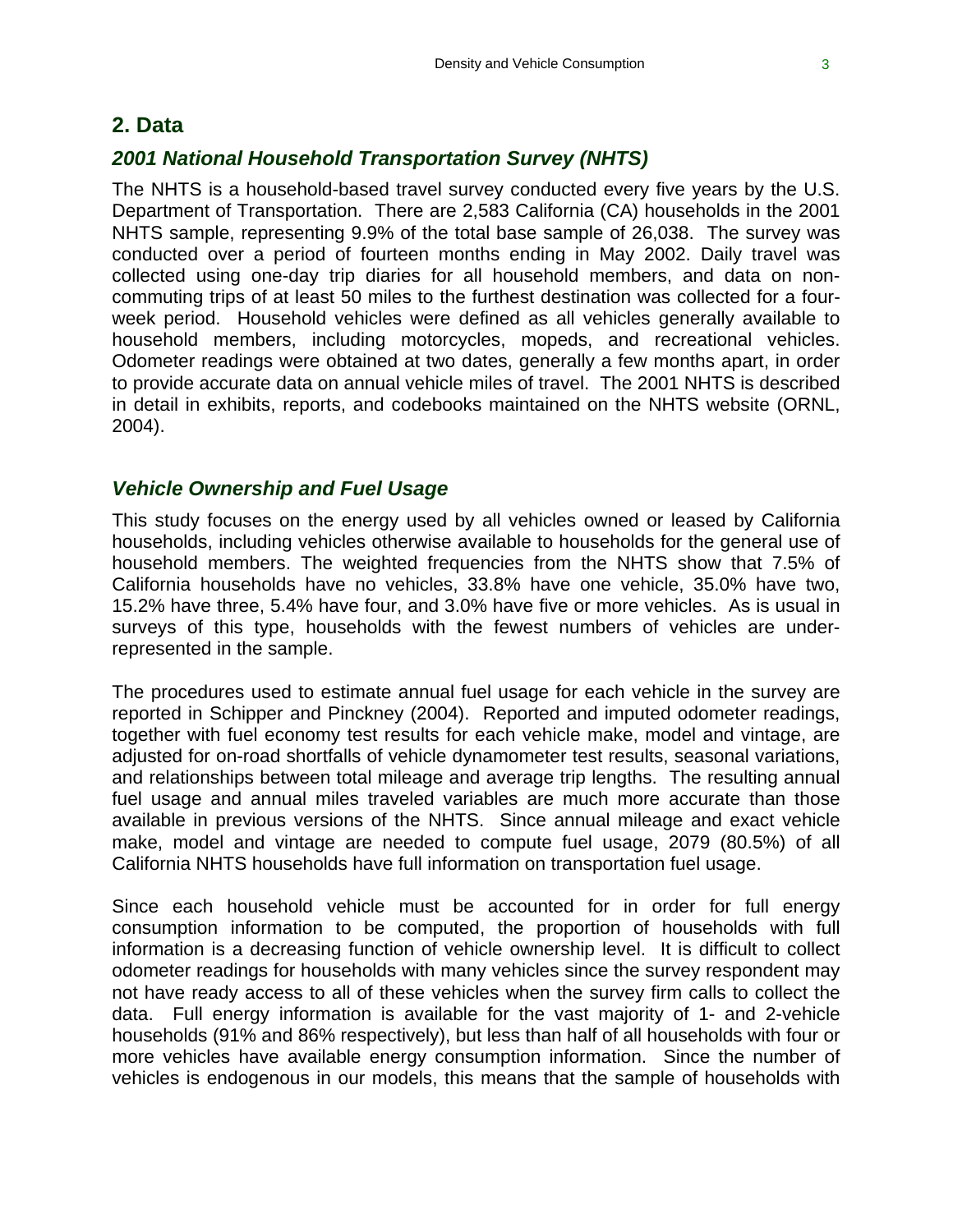### **2. Data**

### *2001 National Household Transportation Survey (NHTS)*

The NHTS is a household-based travel survey conducted every five years by the U.S. Department of Transportation. There are 2,583 California (CA) households in the 2001 NHTS sample, representing 9.9% of the total base sample of 26,038. The survey was conducted over a period of fourteen months ending in May 2002. Daily travel was collected using one-day trip diaries for all household members, and data on noncommuting trips of at least 50 miles to the furthest destination was collected for a fourweek period. Household vehicles were defined as all vehicles generally available to household members, including motorcycles, mopeds, and recreational vehicles. Odometer readings were obtained at two dates, generally a few months apart, in order to provide accurate data on annual vehicle miles of travel. The 2001 NHTS is described in detail in exhibits, reports, and codebooks maintained on the NHTS website (ORNL, 2004).

### *Vehicle Ownership and Fuel Usage*

This study focuses on the energy used by all vehicles owned or leased by California households, including vehicles otherwise available to households for the general use of household members. The weighted frequencies from the NHTS show that 7.5% of California households have no vehicles, 33.8% have one vehicle, 35.0% have two, 15.2% have three, 5.4% have four, and 3.0% have five or more vehicles. As is usual in surveys of this type, households with the fewest numbers of vehicles are underrepresented in the sample.

The procedures used to estimate annual fuel usage for each vehicle in the survey are reported in Schipper and Pinckney (2004). Reported and imputed odometer readings, together with fuel economy test results for each vehicle make, model and vintage, are adjusted for on-road shortfalls of vehicle dynamometer test results, seasonal variations, and relationships between total mileage and average trip lengths. The resulting annual fuel usage and annual miles traveled variables are much more accurate than those available in previous versions of the NHTS. Since annual mileage and exact vehicle make, model and vintage are needed to compute fuel usage, 2079 (80.5%) of all California NHTS households have full information on transportation fuel usage.

Since each household vehicle must be accounted for in order for full energy consumption information to be computed, the proportion of households with full information is a decreasing function of vehicle ownership level. It is difficult to collect odometer readings for households with many vehicles since the survey respondent may not have ready access to all of these vehicles when the survey firm calls to collect the data. Full energy information is available for the vast majority of 1- and 2-vehicle households (91% and 86% respectively), but less than half of all households with four or more vehicles have available energy consumption information. Since the number of vehicles is endogenous in our models, this means that the sample of households with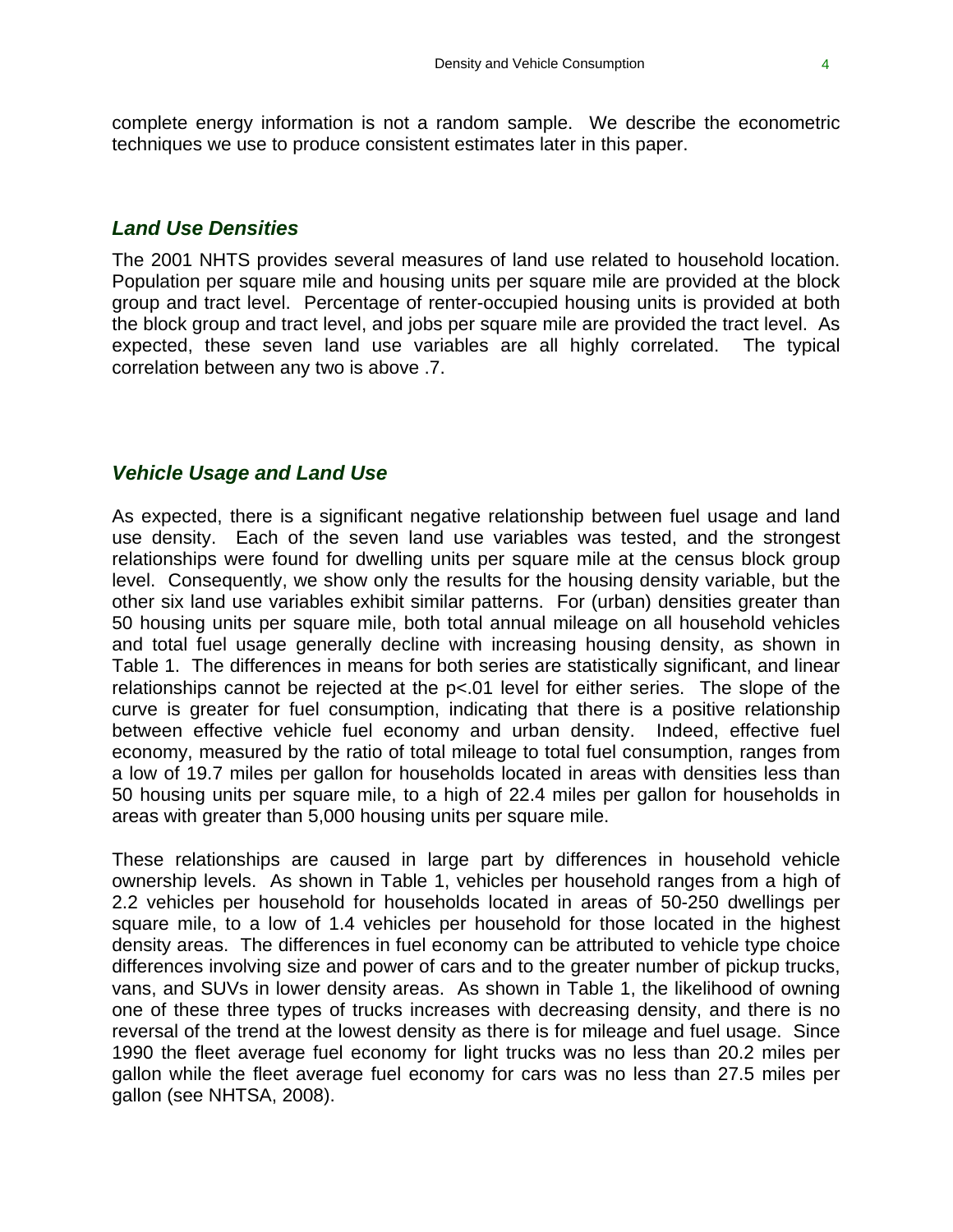complete energy information is not a random sample. We describe the econometric techniques we use to produce consistent estimates later in this paper.

### *Land Use Densities*

The 2001 NHTS provides several measures of land use related to household location. Population per square mile and housing units per square mile are provided at the block group and tract level. Percentage of renter-occupied housing units is provided at both the block group and tract level, and jobs per square mile are provided the tract level. As expected, these seven land use variables are all highly correlated. The typical correlation between any two is above .7.

### *Vehicle Usage and Land Use*

As expected, there is a significant negative relationship between fuel usage and land use density. Each of the seven land use variables was tested, and the strongest relationships were found for dwelling units per square mile at the census block group level. Consequently, we show only the results for the housing density variable, but the other six land use variables exhibit similar patterns. For (urban) densities greater than 50 housing units per square mile, both total annual mileage on all household vehicles and total fuel usage generally decline with increasing housing density, as shown in Table 1. The differences in means for both series are statistically significant, and linear relationships cannot be rejected at the p<.01 level for either series. The slope of the curve is greater for fuel consumption, indicating that there is a positive relationship between effective vehicle fuel economy and urban density. Indeed, effective fuel economy, measured by the ratio of total mileage to total fuel consumption, ranges from a low of 19.7 miles per gallon for households located in areas with densities less than 50 housing units per square mile, to a high of 22.4 miles per gallon for households in areas with greater than 5,000 housing units per square mile.

These relationships are caused in large part by differences in household vehicle ownership levels. As shown in Table 1, vehicles per household ranges from a high of 2.2 vehicles per household for households located in areas of 50-250 dwellings per square mile, to a low of 1.4 vehicles per household for those located in the highest density areas. The differences in fuel economy can be attributed to vehicle type choice differences involving size and power of cars and to the greater number of pickup trucks, vans, and SUVs in lower density areas. As shown in Table 1, the likelihood of owning one of these three types of trucks increases with decreasing density, and there is no reversal of the trend at the lowest density as there is for mileage and fuel usage. Since 1990 the fleet average fuel economy for light trucks was no less than 20.2 miles per gallon while the fleet average fuel economy for cars was no less than 27.5 miles per gallon (see NHTSA, 2008).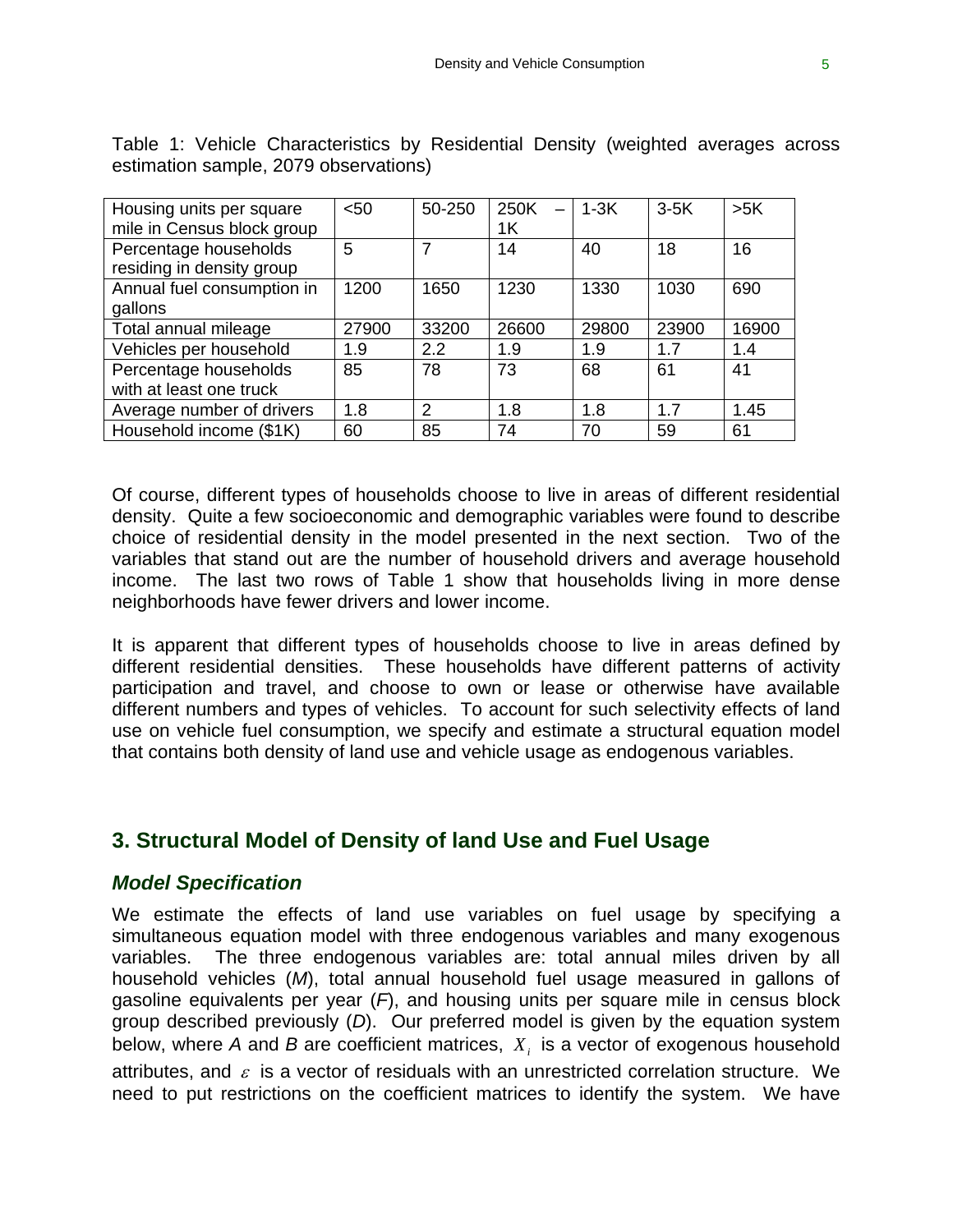| Housing units per square   | < 50  | 50-250        | 250K  | $1-3K$ | $3-5K$ | >5K   |
|----------------------------|-------|---------------|-------|--------|--------|-------|
| mile in Census block group |       |               | 1Κ    |        |        |       |
| Percentage households      | 5     |               | 14    | 40     | 18     | 16    |
| residing in density group  |       |               |       |        |        |       |
| Annual fuel consumption in | 1200  | 1650          | 1230  | 1330   | 1030   | 690   |
| gallons                    |       |               |       |        |        |       |
| Total annual mileage       | 27900 | 33200         | 26600 | 29800  | 23900  | 16900 |
| Vehicles per household     | 1.9   | 2.2           | 1.9   | 1.9    | 1.7    | 1.4   |
| Percentage households      | 85    | 78            | 73    | 68     | 61     | 41    |
| with at least one truck    |       |               |       |        |        |       |
| Average number of drivers  | 1.8   | $\mathcal{P}$ | 1.8   | 1.8    | 1.7    | 1.45  |
| Household income (\$1K)    | 60    | 85            | 74    | 70     | 59     | 61    |

Table 1: Vehicle Characteristics by Residential Density (weighted averages across estimation sample, 2079 observations)

Of course, different types of households choose to live in areas of different residential density. Quite a few socioeconomic and demographic variables were found to describe choice of residential density in the model presented in the next section. Two of the variables that stand out are the number of household drivers and average household income. The last two rows of Table 1 show that households living in more dense neighborhoods have fewer drivers and lower income.

It is apparent that different types of households choose to live in areas defined by different residential densities. These households have different patterns of activity participation and travel, and choose to own or lease or otherwise have available different numbers and types of vehicles. To account for such selectivity effects of land use on vehicle fuel consumption, we specify and estimate a structural equation model that contains both density of land use and vehicle usage as endogenous variables.

# **3. Structural Model of Density of land Use and Fuel Usage**

### *Model Specification*

We estimate the effects of land use variables on fuel usage by specifying a simultaneous equation model with three endogenous variables and many exogenous variables. The three endogenous variables are: total annual miles driven by all household vehicles (*M*), total annual household fuel usage measured in gallons of gasoline equivalents per year (*F*), and housing units per square mile in census block group described previously (*D*). Our preferred model is given by the equation system below, where *A* and *B* are coefficient matrices, *Xi* is a vector of exogenous household attributes, and  $\varepsilon$  is a vector of residuals with an unrestricted correlation structure. We need to put restrictions on the coefficient matrices to identify the system. We have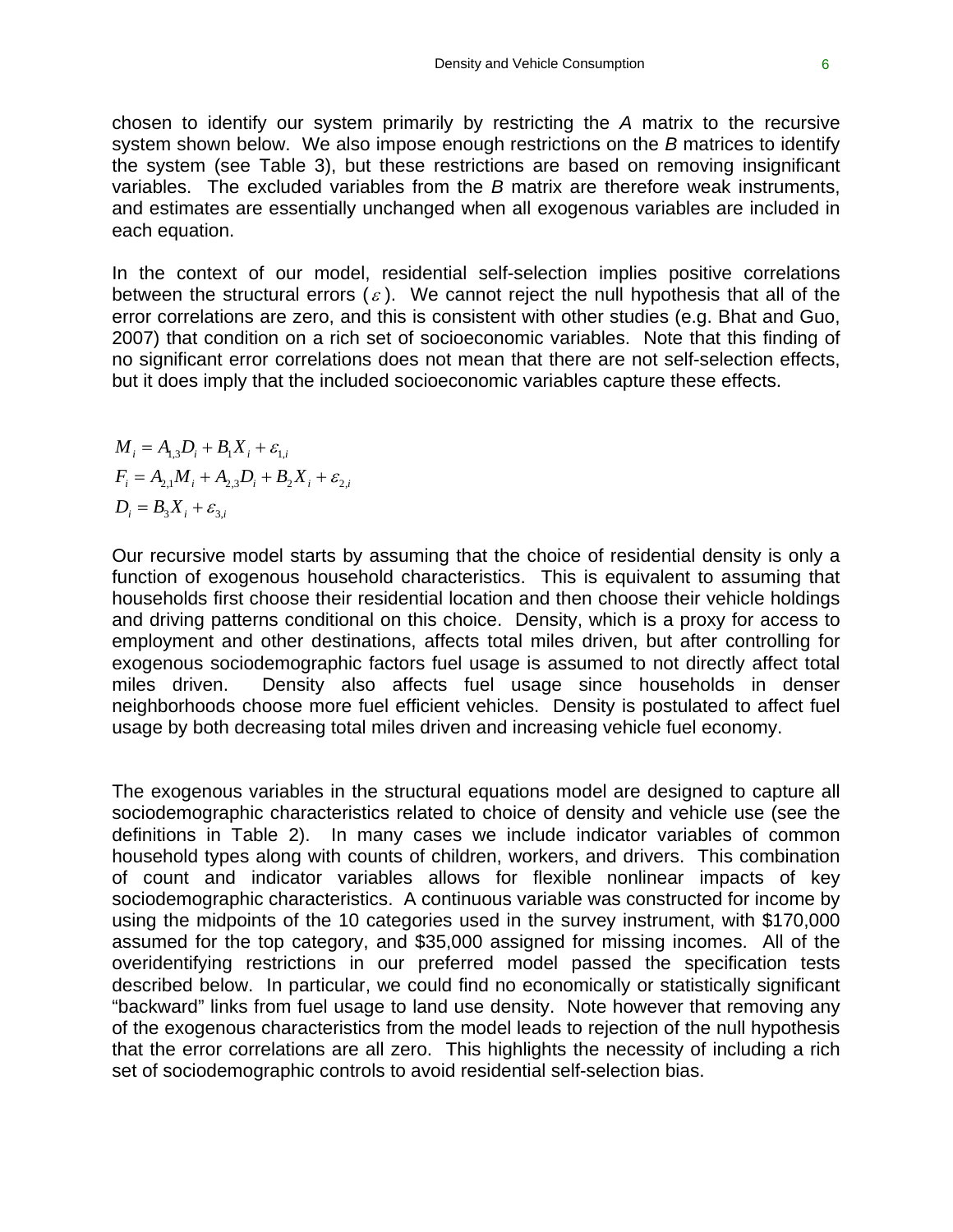chosen to identify our system primarily by restricting the *A* matrix to the recursive system shown below. We also impose enough restrictions on the *B* matrices to identify the system (see Table 3), but these restrictions are based on removing insignificant variables. The excluded variables from the *B* matrix are therefore weak instruments, and estimates are essentially unchanged when all exogenous variables are included in each equation.

In the context of our model, residential self-selection implies positive correlations between the structural errors ( $\varepsilon$ ). We cannot reject the null hypothesis that all of the error correlations are zero, and this is consistent with other studies (e.g. Bhat and Guo, 2007) that condition on a rich set of socioeconomic variables. Note that this finding of no significant error correlations does not mean that there are not self-selection effects, but it does imply that the included socioeconomic variables capture these effects.

 $M_i = A_{1,3}D_i + B_1X_i + \varepsilon_{1,i}$  $F_i = A_{2,1}M_i + A_{2,3}D_i + B_2X_i + \varepsilon_{2,i}$  $D_i = B_3 X_i + \varepsilon_{3,i}$ 

Our recursive model starts by assuming that the choice of residential density is only a function of exogenous household characteristics. This is equivalent to assuming that households first choose their residential location and then choose their vehicle holdings and driving patterns conditional on this choice. Density, which is a proxy for access to employment and other destinations, affects total miles driven, but after controlling for exogenous sociodemographic factors fuel usage is assumed to not directly affect total miles driven. Density also affects fuel usage since households in denser neighborhoods choose more fuel efficient vehicles. Density is postulated to affect fuel usage by both decreasing total miles driven and increasing vehicle fuel economy.

The exogenous variables in the structural equations model are designed to capture all sociodemographic characteristics related to choice of density and vehicle use (see the definitions in Table 2). In many cases we include indicator variables of common household types along with counts of children, workers, and drivers. This combination of count and indicator variables allows for flexible nonlinear impacts of key sociodemographic characteristics. A continuous variable was constructed for income by using the midpoints of the 10 categories used in the survey instrument, with \$170,000 assumed for the top category, and \$35,000 assigned for missing incomes. All of the overidentifying restrictions in our preferred model passed the specification tests described below. In particular, we could find no economically or statistically significant "backward" links from fuel usage to land use density. Note however that removing any of the exogenous characteristics from the model leads to rejection of the null hypothesis that the error correlations are all zero. This highlights the necessity of including a rich set of sociodemographic controls to avoid residential self-selection bias.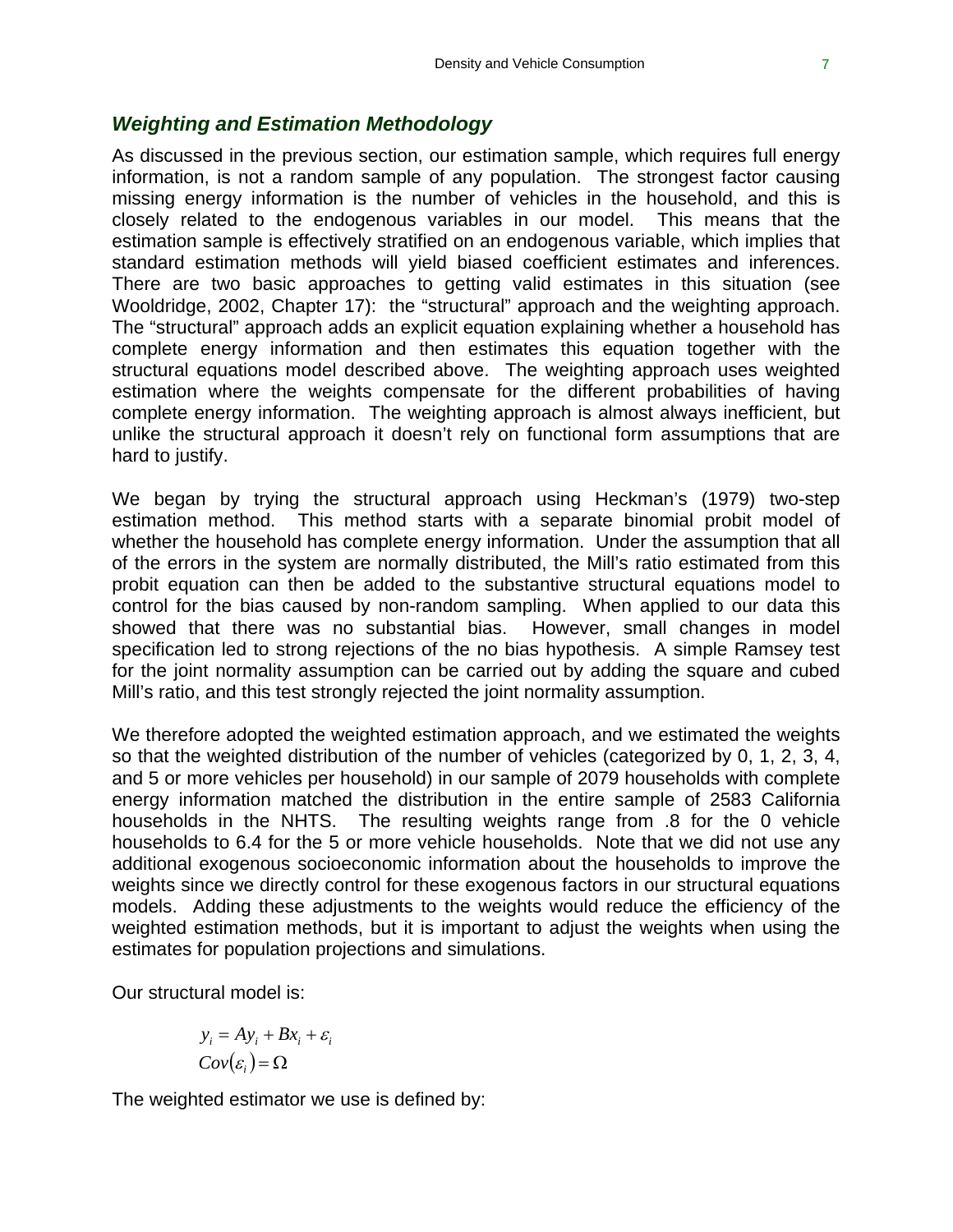### *Weighting and Estimation Methodology*

As discussed in the previous section, our estimation sample, which requires full energy information, is not a random sample of any population. The strongest factor causing missing energy information is the number of vehicles in the household, and this is closely related to the endogenous variables in our model. This means that the estimation sample is effectively stratified on an endogenous variable, which implies that standard estimation methods will yield biased coefficient estimates and inferences. There are two basic approaches to getting valid estimates in this situation (see Wooldridge, 2002, Chapter 17): the "structural" approach and the weighting approach. The "structural" approach adds an explicit equation explaining whether a household has complete energy information and then estimates this equation together with the structural equations model described above. The weighting approach uses weighted estimation where the weights compensate for the different probabilities of having complete energy information. The weighting approach is almost always inefficient, but unlike the structural approach it doesn't rely on functional form assumptions that are hard to justify.

We began by trying the structural approach using Heckman's (1979) two-step estimation method. This method starts with a separate binomial probit model of whether the household has complete energy information. Under the assumption that all of the errors in the system are normally distributed, the Mill's ratio estimated from this probit equation can then be added to the substantive structural equations model to control for the bias caused by non-random sampling. When applied to our data this showed that there was no substantial bias. However, small changes in model specification led to strong rejections of the no bias hypothesis. A simple Ramsey test for the joint normality assumption can be carried out by adding the square and cubed Mill's ratio, and this test strongly rejected the joint normality assumption.

We therefore adopted the weighted estimation approach, and we estimated the weights so that the weighted distribution of the number of vehicles (categorized by 0, 1, 2, 3, 4, and 5 or more vehicles per household) in our sample of 2079 households with complete energy information matched the distribution in the entire sample of 2583 California households in the NHTS. The resulting weights range from .8 for the 0 vehicle households to 6.4 for the 5 or more vehicle households. Note that we did not use any additional exogenous socioeconomic information about the households to improve the weights since we directly control for these exogenous factors in our structural equations models. Adding these adjustments to the weights would reduce the efficiency of the weighted estimation methods, but it is important to adjust the weights when using the estimates for population projections and simulations.

Our structural model is:

$$
y_i = Ay_i + Bx_i + \varepsilon_i
$$

$$
Cov(\varepsilon_i) = \Omega
$$

The weighted estimator we use is defined by: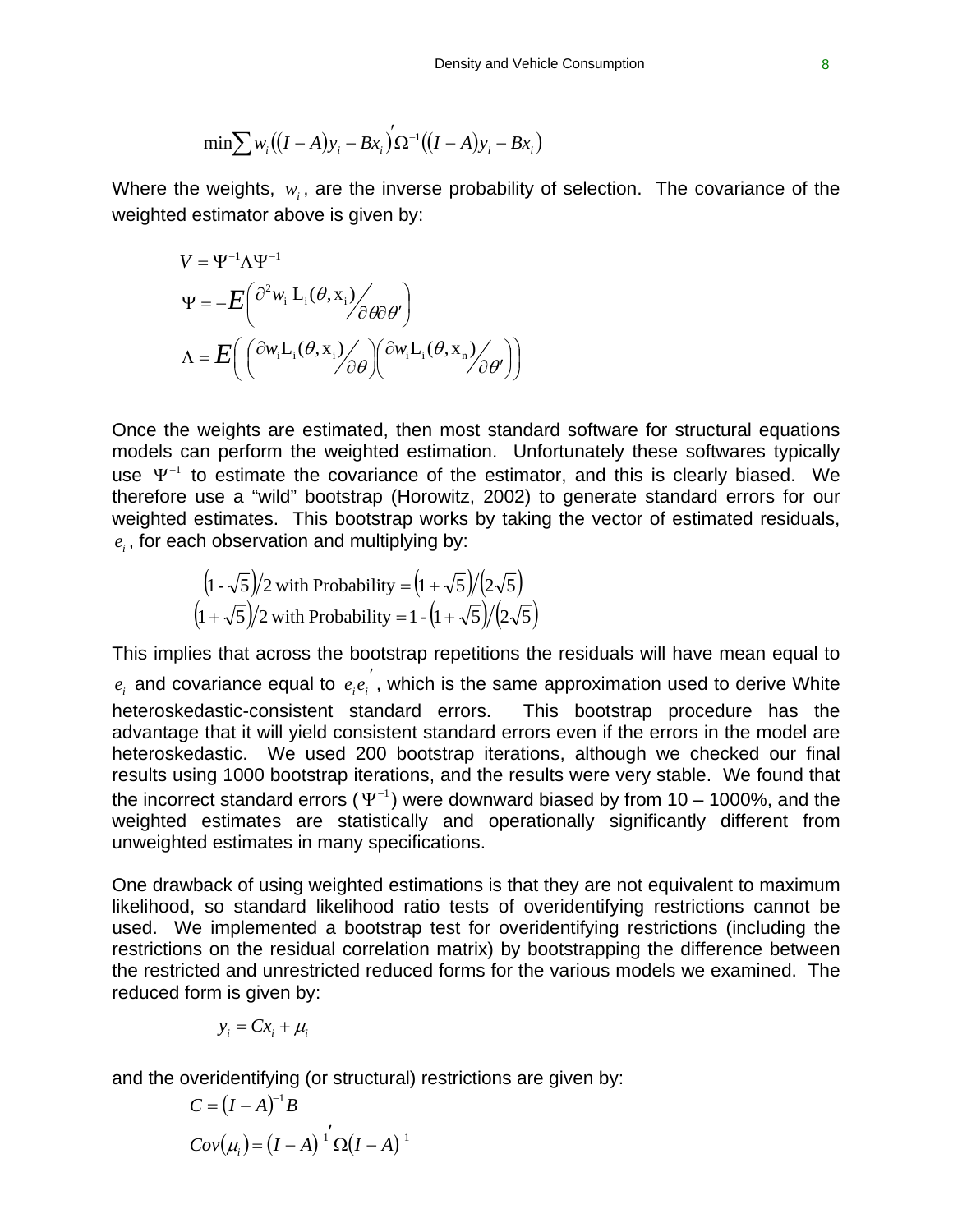$$
\min \sum w_i ((I - A)y_i - Bx_i) \Omega^{-1} ((I - A)y_i - Bx_i)
$$

Where the weights,  $w_i$ , are the inverse probability of selection. The covariance of the weighted estimator above is given by:

$$
V = \Psi^{-1} \Lambda \Psi^{-1}
$$
  
\n
$$
\Psi = -E \left( \frac{\partial^2 w_i L_i(\theta, x_i)}{\partial \theta \partial \theta'} \right)
$$
  
\n
$$
\Lambda = E \left( \frac{\partial w_i L_i(\theta, x_i)}{\partial \theta} \left( \frac{\partial w_i L_i(\theta, x_i)}{\partial \theta'} \right) \right)
$$

Once the weights are estimated, then most standard software for structural equations models can perform the weighted estimation. Unfortunately these softwares typically use  $\Psi^{-1}$  to estimate the covariance of the estimator, and this is clearly biased. We therefore use a "wild" bootstrap (Horowitz, 2002) to generate standard errors for our weighted estimates. This bootstrap works by taking the vector of estimated residuals,  $e_i$ , for each observation and multiplying by:

$$
(1 - \sqrt{5})/2
$$
 with Probability =  $(1 + \sqrt{5})/(2\sqrt{5})$   
 $(1 + \sqrt{5})/2$  with Probability =  $1 - (1 + \sqrt{5})/(2\sqrt{5})$ 

This implies that across the bootstrap repetitions the residuals will have mean equal to  $e_i$  and covariance equal to  $e_i e_i^{'}$ , which is the same approximation used to derive White heteroskedastic-consistent standard errors. This bootstrap procedure has the advantage that it will yield consistent standard errors even if the errors in the model are heteroskedastic. We used 200 bootstrap iterations, although we checked our final results using 1000 bootstrap iterations, and the results were very stable. We found that the incorrect standard errors ( $\Psi^{-1}$ ) were downward biased by from 10 – 1000%, and the weighted estimates are statistically and operationally significantly different from unweighted estimates in many specifications.

One drawback of using weighted estimations is that they are not equivalent to maximum likelihood, so standard likelihood ratio tests of overidentifying restrictions cannot be used. We implemented a bootstrap test for overidentifying restrictions (including the restrictions on the residual correlation matrix) by bootstrapping the difference between the restricted and unrestricted reduced forms for the various models we examined. The reduced form is given by:

$$
y_i = C x_i + \mu_i
$$

and the overidentifying (or structural) restrictions are given by:

$$
C = (I - A)^{-1}B
$$

$$
Cov(\mu_i) = (I - A)^{-1} \Omega (I - A)^{-1}
$$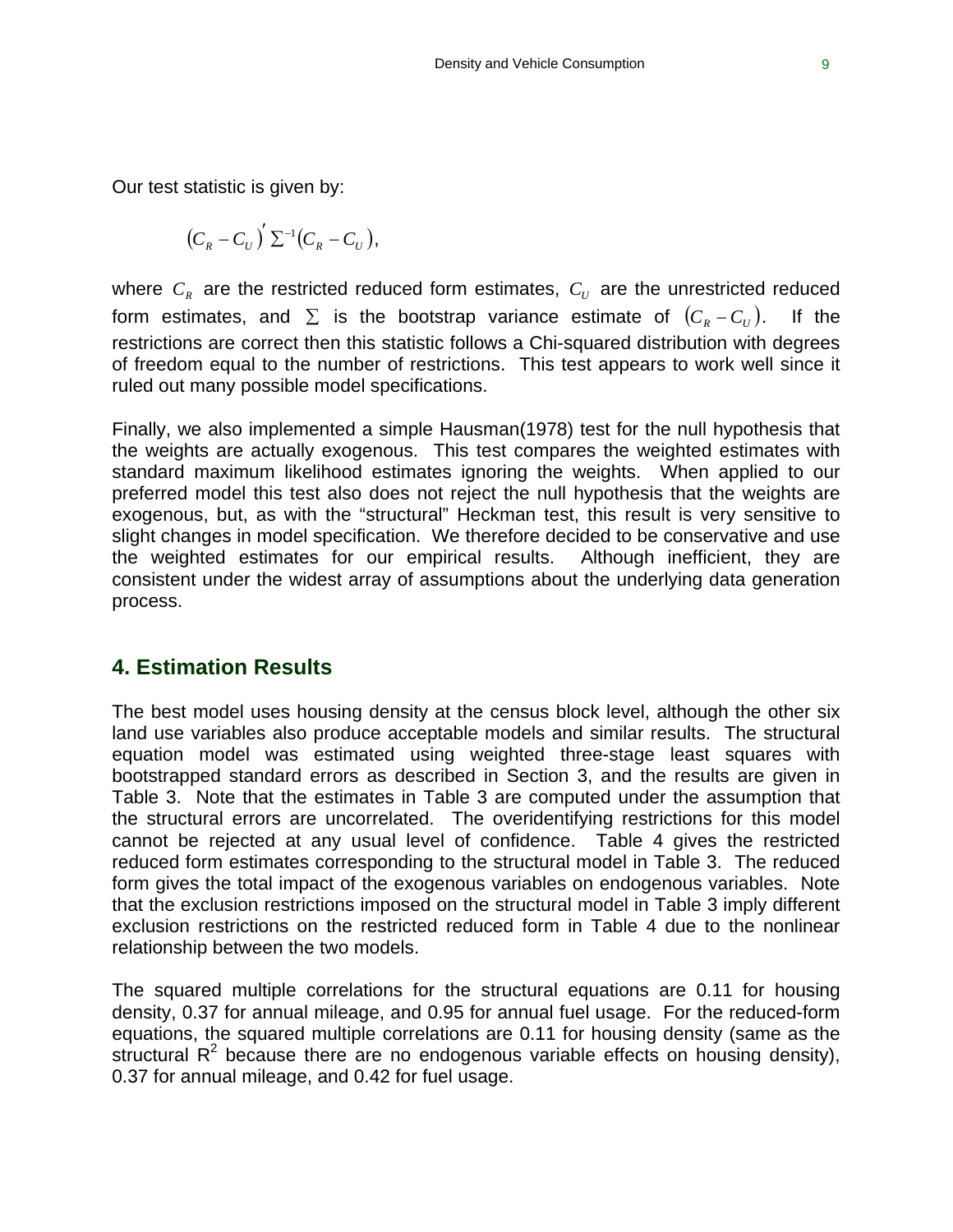Our test statistic is given by:

$$
\big( C_{_R} - C_{_U} \big)^{'} \, \Sigma^{-1} \big( C_{_R} - C_{_U} \big),
$$

where  $C_R$  are the restricted reduced form estimates,  $C_U$  are the unrestricted reduced form estimates, and  $\Sigma$  is the bootstrap variance estimate of  $(C_{\scriptscriptstyle R}-C_{\scriptscriptstyle U}).$  If the restrictions are correct then this statistic follows a Chi-squared distribution with degrees of freedom equal to the number of restrictions. This test appears to work well since it ruled out many possible model specifications.

Finally, we also implemented a simple Hausman(1978) test for the null hypothesis that the weights are actually exogenous. This test compares the weighted estimates with standard maximum likelihood estimates ignoring the weights. When applied to our preferred model this test also does not reject the null hypothesis that the weights are exogenous, but, as with the "structural" Heckman test, this result is very sensitive to slight changes in model specification. We therefore decided to be conservative and use the weighted estimates for our empirical results. Although inefficient, they are consistent under the widest array of assumptions about the underlying data generation process.

# **4. Estimation Results**

The best model uses housing density at the census block level, although the other six land use variables also produce acceptable models and similar results. The structural equation model was estimated using weighted three-stage least squares with bootstrapped standard errors as described in Section 3, and the results are given in Table 3. Note that the estimates in Table 3 are computed under the assumption that the structural errors are uncorrelated. The overidentifying restrictions for this model cannot be rejected at any usual level of confidence. Table 4 gives the restricted reduced form estimates corresponding to the structural model in Table 3. The reduced form gives the total impact of the exogenous variables on endogenous variables. Note that the exclusion restrictions imposed on the structural model in Table 3 imply different exclusion restrictions on the restricted reduced form in Table 4 due to the nonlinear relationship between the two models.

The squared multiple correlations for the structural equations are 0.11 for housing density, 0.37 for annual mileage, and 0.95 for annual fuel usage. For the reduced-form equations, the squared multiple correlations are 0.11 for housing density (same as the structural  $R^2$  because there are no endogenous variable effects on housing density), 0.37 for annual mileage, and 0.42 for fuel usage.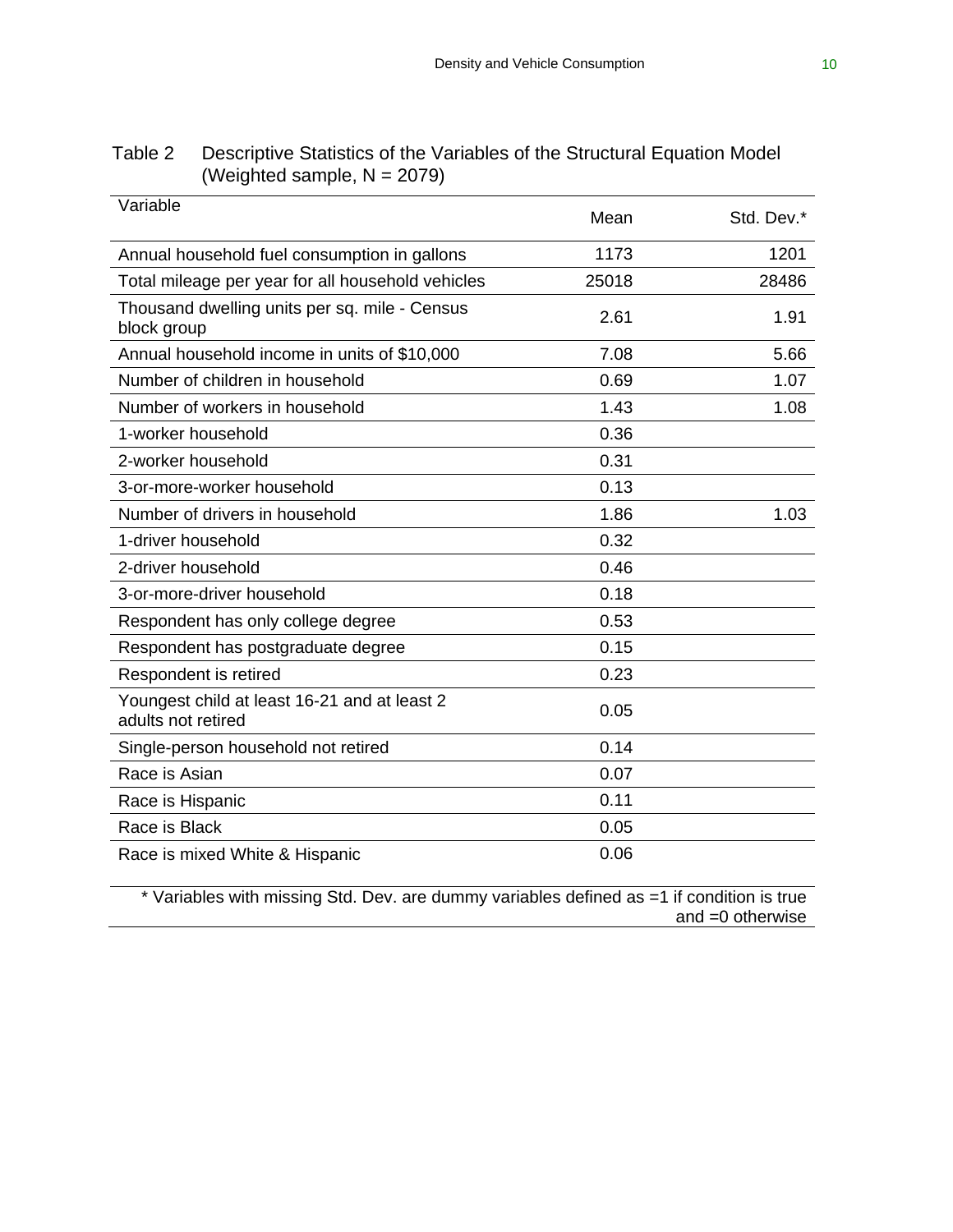| Variable                                                           | Mean  | Std. Dev.* |
|--------------------------------------------------------------------|-------|------------|
| Annual household fuel consumption in gallons                       | 1173  | 1201       |
| Total mileage per year for all household vehicles                  | 25018 | 28486      |
| Thousand dwelling units per sq. mile - Census<br>block group       | 2.61  | 1.91       |
| Annual household income in units of \$10,000                       | 7.08  | 5.66       |
| Number of children in household                                    | 0.69  | 1.07       |
| Number of workers in household                                     | 1.43  | 1.08       |
| 1-worker household                                                 | 0.36  |            |
| 2-worker household                                                 | 0.31  |            |
| 3-or-more-worker household                                         | 0.13  |            |
| Number of drivers in household                                     | 1.86  | 1.03       |
| 1-driver household                                                 | 0.32  |            |
| 2-driver household                                                 | 0.46  |            |
| 3-or-more-driver household                                         | 0.18  |            |
| Respondent has only college degree                                 | 0.53  |            |
| Respondent has postgraduate degree                                 | 0.15  |            |
| Respondent is retired                                              | 0.23  |            |
| Youngest child at least 16-21 and at least 2<br>adults not retired | 0.05  |            |
| Single-person household not retired                                | 0.14  |            |
| Race is Asian                                                      | 0.07  |            |
| Race is Hispanic                                                   | 0.11  |            |
| Race is Black                                                      | 0.05  |            |
| Race is mixed White & Hispanic                                     | 0.06  |            |

Table 2 Descriptive Statistics of the Variables of the Structural Equation Model (Weighted sample,  $N = 2079$ )

\* Variables with missing Std. Dev. are dummy variables defined as =1 if condition is true and =0 otherwise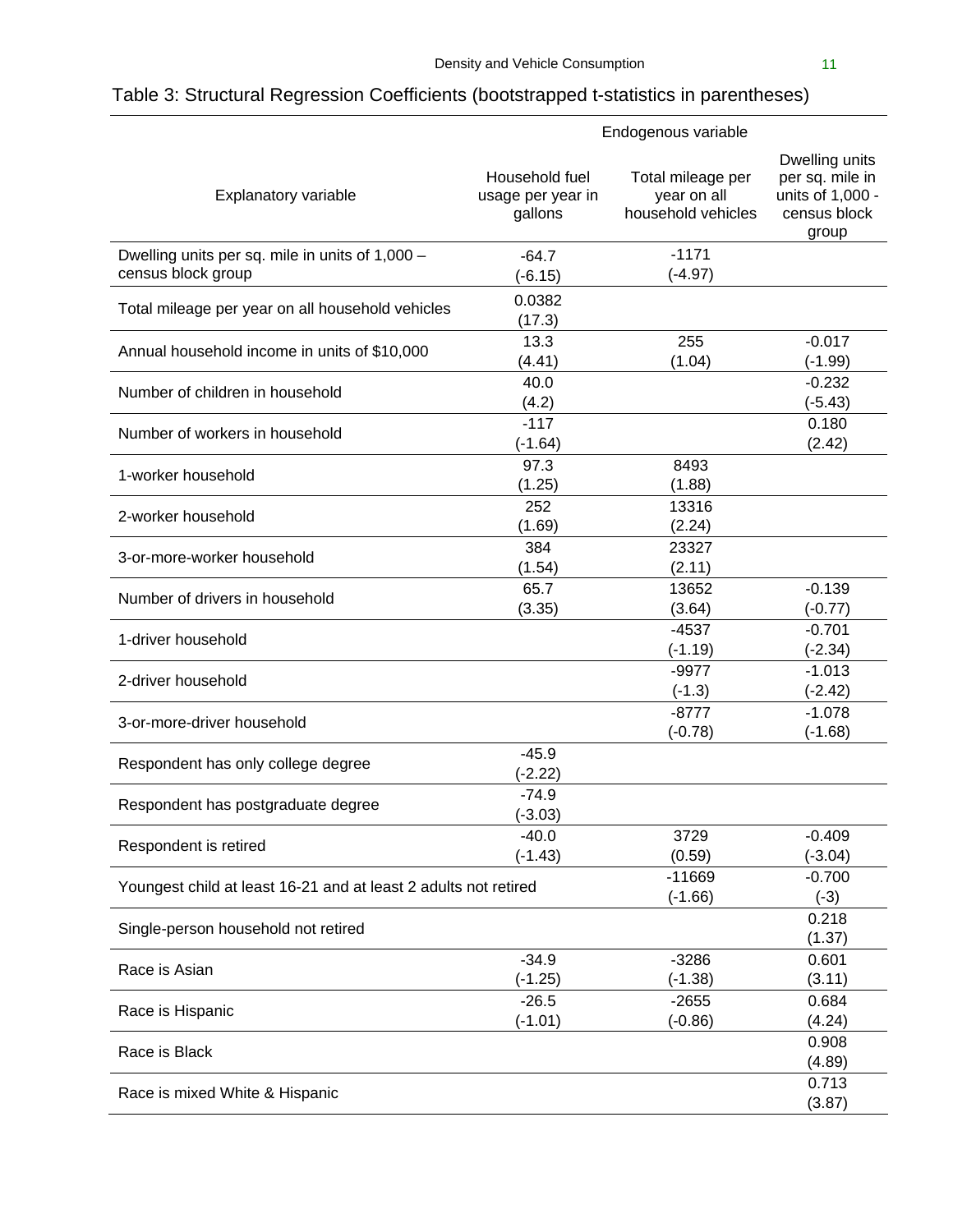|                                                                       | Endogenous variable                            |                                                        |                                                                                |
|-----------------------------------------------------------------------|------------------------------------------------|--------------------------------------------------------|--------------------------------------------------------------------------------|
| Explanatory variable                                                  | Household fuel<br>usage per year in<br>gallons | Total mileage per<br>year on all<br>household vehicles | Dwelling units<br>per sq. mile in<br>units of 1,000 -<br>census block<br>group |
| Dwelling units per sq. mile in units of 1,000 -<br>census block group | $-64.7$<br>$(-6.15)$                           | $-1171$<br>$(-4.97)$                                   |                                                                                |
| Total mileage per year on all household vehicles                      | 0.0382<br>(17.3)                               |                                                        |                                                                                |
| Annual household income in units of \$10,000                          | 13.3<br>(4.41)                                 | 255<br>(1.04)                                          | $-0.017$<br>$(-1.99)$                                                          |
| Number of children in household                                       | 40.0<br>(4.2)                                  |                                                        | $-0.232$<br>$(-5.43)$                                                          |
| Number of workers in household                                        | $-117$<br>(-1.64)                              |                                                        | 0.180<br>(2.42)                                                                |
| 1-worker household                                                    | 97.3<br>(1.25)                                 | 8493<br>(1.88)                                         |                                                                                |
| 2-worker household                                                    | 252<br>(1.69)                                  | 13316<br>(2.24)                                        |                                                                                |
| 3-or-more-worker household                                            | 384<br>(1.54)                                  | 23327<br>(2.11)                                        |                                                                                |
| Number of drivers in household                                        | 65.7<br>(3.35)                                 | 13652<br>(3.64)                                        | $-0.139$<br>$(-0.77)$                                                          |
| 1-driver household                                                    |                                                | $-4537$<br>$(-1.19)$                                   | $-0.701$<br>$(-2.34)$                                                          |
| 2-driver household                                                    |                                                | $-9977$<br>$(-1.3)$                                    | $-1.013$<br>$(-2.42)$                                                          |
| 3-or-more-driver household                                            |                                                | $-8777$<br>$(-0.78)$                                   | $-1.078$<br>$(-1.68)$                                                          |
| Respondent has only college degree                                    | $-45.9$<br>$(-2.22)$                           |                                                        |                                                                                |
| Respondent has postgraduate degree                                    | $-74.9$<br>$(-3.03)$                           |                                                        |                                                                                |
| Respondent is retired                                                 | $-40.0$<br>$(-1.43)$                           | 3729<br>(0.59)                                         | $-0.409$<br>$(-3.04)$                                                          |
| Youngest child at least 16-21 and at least 2 adults not retired       |                                                | $-11669$<br>$(-1.66)$                                  | $-0.700$<br>$(-3)$                                                             |
| Single-person household not retired                                   |                                                |                                                        | 0.218<br>(1.37)                                                                |
| Race is Asian                                                         | $-34.9$<br>$(-1.25)$                           | $-3286$<br>$(-1.38)$                                   | 0.601<br>(3.11)                                                                |
| Race is Hispanic                                                      | $-26.5$<br>$(-1.01)$                           | $-2655$<br>$(-0.86)$                                   | 0.684<br>(4.24)                                                                |
| Race is Black                                                         |                                                |                                                        | 0.908<br>(4.89)                                                                |
| Race is mixed White & Hispanic                                        |                                                |                                                        | 0.713<br>(3.87)                                                                |

# Table 3: Structural Regression Coefficients (bootstrapped t-statistics in parentheses)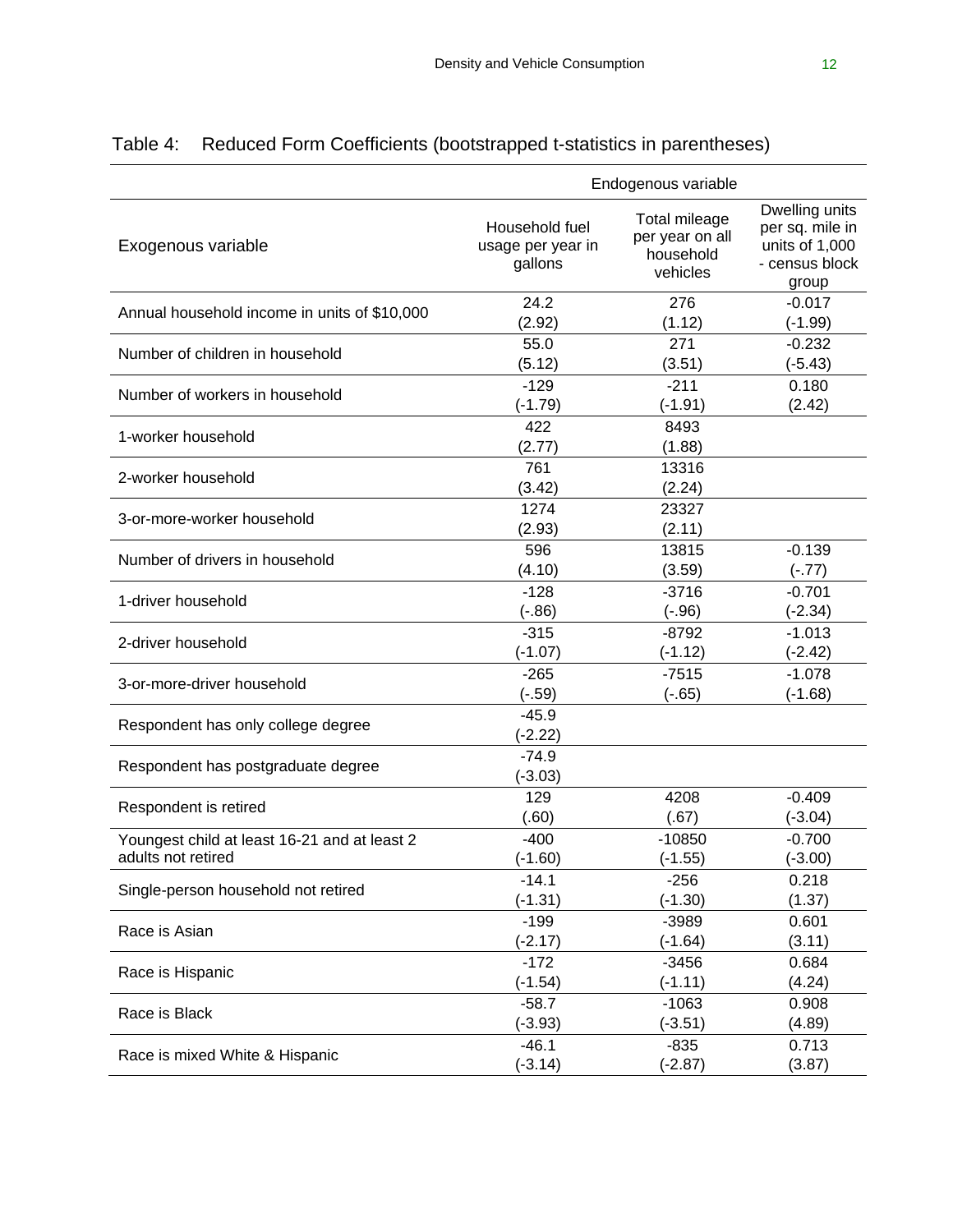|                                              | Endogenous variable                            |                                                           |                                                                                |
|----------------------------------------------|------------------------------------------------|-----------------------------------------------------------|--------------------------------------------------------------------------------|
| Exogenous variable                           | Household fuel<br>usage per year in<br>gallons | Total mileage<br>per year on all<br>household<br>vehicles | Dwelling units<br>per sq. mile in<br>units of 1,000<br>- census block<br>group |
| Annual household income in units of \$10,000 | 24.2                                           | 276                                                       | $-0.017$                                                                       |
|                                              | (2.92)                                         | (1.12)                                                    | $(-1.99)$                                                                      |
| Number of children in household              | 55.0                                           | 271                                                       | $-0.232$                                                                       |
|                                              | (5.12)                                         | (3.51)                                                    | $(-5.43)$                                                                      |
| Number of workers in household               | $-129$                                         | $-211$                                                    | 0.180                                                                          |
|                                              | $(-1.79)$                                      | $(-1.91)$                                                 | (2.42)                                                                         |
| 1-worker household                           | 422<br>(2.77)                                  | 8493<br>(1.88)                                            |                                                                                |
| 2-worker household                           | 761<br>(3.42)                                  | 13316<br>(2.24)                                           |                                                                                |
| 3-or-more-worker household                   | 1274<br>(2.93)                                 | 23327<br>(2.11)                                           |                                                                                |
| Number of drivers in household               | 596                                            | 13815                                                     | $-0.139$                                                                       |
|                                              | (4.10)                                         | (3.59)                                                    | $(-.77)$                                                                       |
| 1-driver household                           | $-128$                                         | $-3716$                                                   | $-0.701$                                                                       |
|                                              | $(-.86)$                                       | $(-.96)$                                                  | $(-2.34)$                                                                      |
| 2-driver household                           | $-315$                                         | $-8792$                                                   | $-1.013$                                                                       |
|                                              | $(-1.07)$                                      | $(-1.12)$                                                 | $(-2.42)$                                                                      |
| 3-or-more-driver household                   | $-265$                                         | $-7515$                                                   | $-1.078$                                                                       |
|                                              | $(-.59)$                                       | $(-.65)$                                                  | $(-1.68)$                                                                      |
| Respondent has only college degree           | $-45.9$<br>(-2.22)                             |                                                           |                                                                                |
| Respondent has postgraduate degree           | $-74.9$<br>$(-3.03)$                           |                                                           |                                                                                |
| Respondent is retired                        | 129                                            | 4208                                                      | $-0.409$                                                                       |
|                                              | (.60)                                          | (.67)                                                     | $(-3.04)$                                                                      |
| Youngest child at least 16-21 and at least 2 | $-400$                                         | $-10850$                                                  | $-0.700$                                                                       |
| adults not retired                           | $(-1.60)$                                      | $(-1.55)$                                                 | $(-3.00)$                                                                      |
| Single-person household not retired          | $-14.1$                                        | $-256$                                                    | 0.218                                                                          |
|                                              | $(-1.31)$                                      | $(-1.30)$                                                 | (1.37)                                                                         |
| Race is Asian                                | $-199$                                         | $-3989$                                                   | 0.601                                                                          |
|                                              | $(-2.17)$                                      | $(-1.64)$                                                 | (3.11)                                                                         |
| Race is Hispanic                             | $-172$                                         | $-3456$                                                   | 0.684                                                                          |
|                                              | $(-1.54)$                                      | $(-1.11)$                                                 | (4.24)                                                                         |
| Race is Black                                | $-58.7$                                        | $-1063$                                                   | 0.908                                                                          |
|                                              | $(-3.93)$                                      | $(-3.51)$                                                 | (4.89)                                                                         |
| Race is mixed White & Hispanic               | $-46.1$                                        | $-835$                                                    | 0.713                                                                          |
|                                              | $(-3.14)$                                      | $(-2.87)$                                                 | (3.87)                                                                         |

# Table 4: Reduced Form Coefficients (bootstrapped t-statistics in parentheses)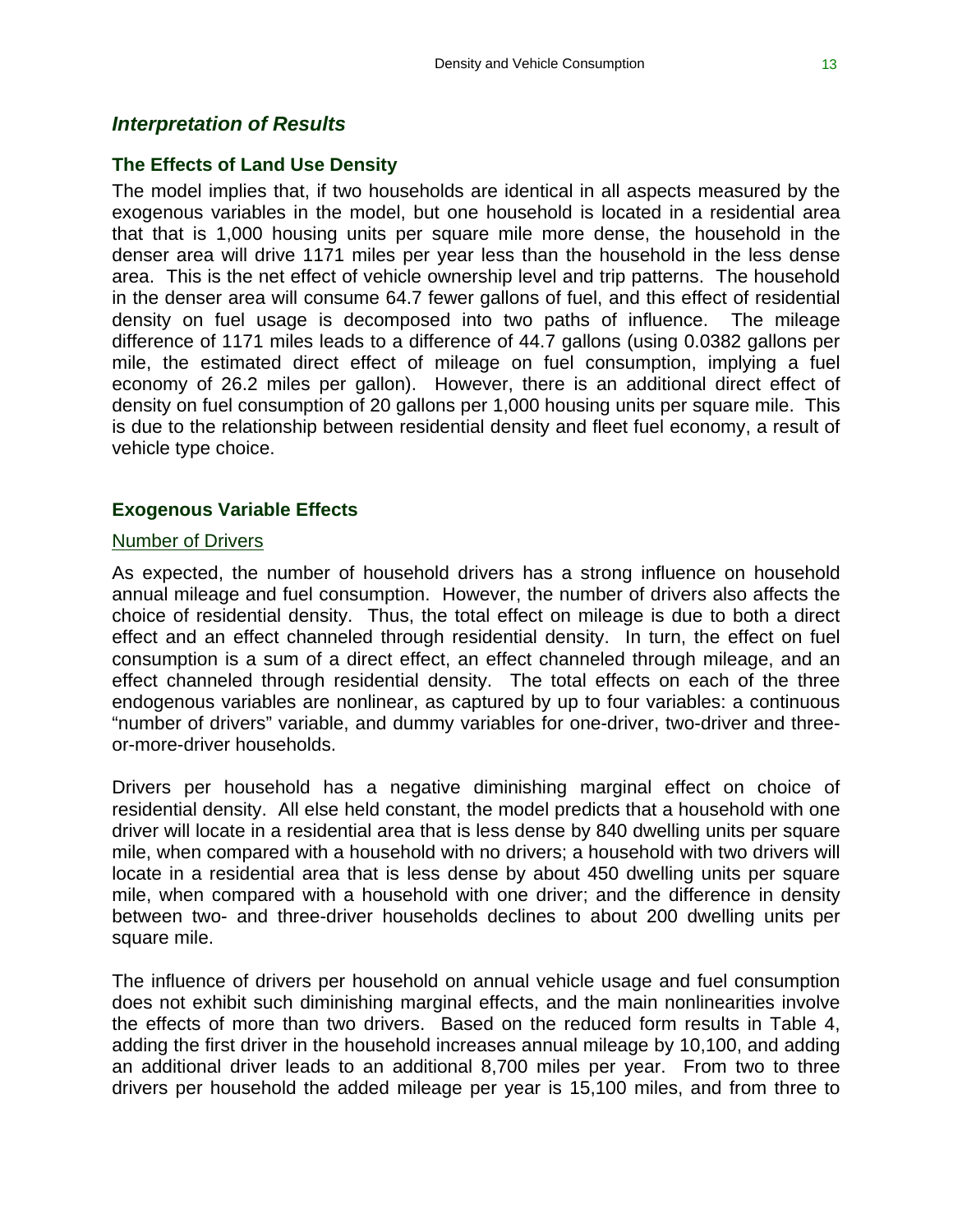### *Interpretation of Results*

### **The Effects of Land Use Density**

The model implies that, if two households are identical in all aspects measured by the exogenous variables in the model, but one household is located in a residential area that that is 1,000 housing units per square mile more dense, the household in the denser area will drive 1171 miles per year less than the household in the less dense area. This is the net effect of vehicle ownership level and trip patterns. The household in the denser area will consume 64.7 fewer gallons of fuel, and this effect of residential density on fuel usage is decomposed into two paths of influence. The mileage difference of 1171 miles leads to a difference of 44.7 gallons (using 0.0382 gallons per mile, the estimated direct effect of mileage on fuel consumption, implying a fuel economy of 26.2 miles per gallon). However, there is an additional direct effect of density on fuel consumption of 20 gallons per 1,000 housing units per square mile. This is due to the relationship between residential density and fleet fuel economy, a result of vehicle type choice.

### **Exogenous Variable Effects**

#### Number of Drivers

As expected, the number of household drivers has a strong influence on household annual mileage and fuel consumption. However, the number of drivers also affects the choice of residential density. Thus, the total effect on mileage is due to both a direct effect and an effect channeled through residential density. In turn, the effect on fuel consumption is a sum of a direct effect, an effect channeled through mileage, and an effect channeled through residential density. The total effects on each of the three endogenous variables are nonlinear, as captured by up to four variables: a continuous "number of drivers" variable, and dummy variables for one-driver, two-driver and threeor-more-driver households.

Drivers per household has a negative diminishing marginal effect on choice of residential density. All else held constant, the model predicts that a household with one driver will locate in a residential area that is less dense by 840 dwelling units per square mile, when compared with a household with no drivers; a household with two drivers will locate in a residential area that is less dense by about 450 dwelling units per square mile, when compared with a household with one driver; and the difference in density between two- and three-driver households declines to about 200 dwelling units per square mile.

The influence of drivers per household on annual vehicle usage and fuel consumption does not exhibit such diminishing marginal effects, and the main nonlinearities involve the effects of more than two drivers. Based on the reduced form results in Table 4, adding the first driver in the household increases annual mileage by 10,100, and adding an additional driver leads to an additional 8,700 miles per year. From two to three drivers per household the added mileage per year is 15,100 miles, and from three to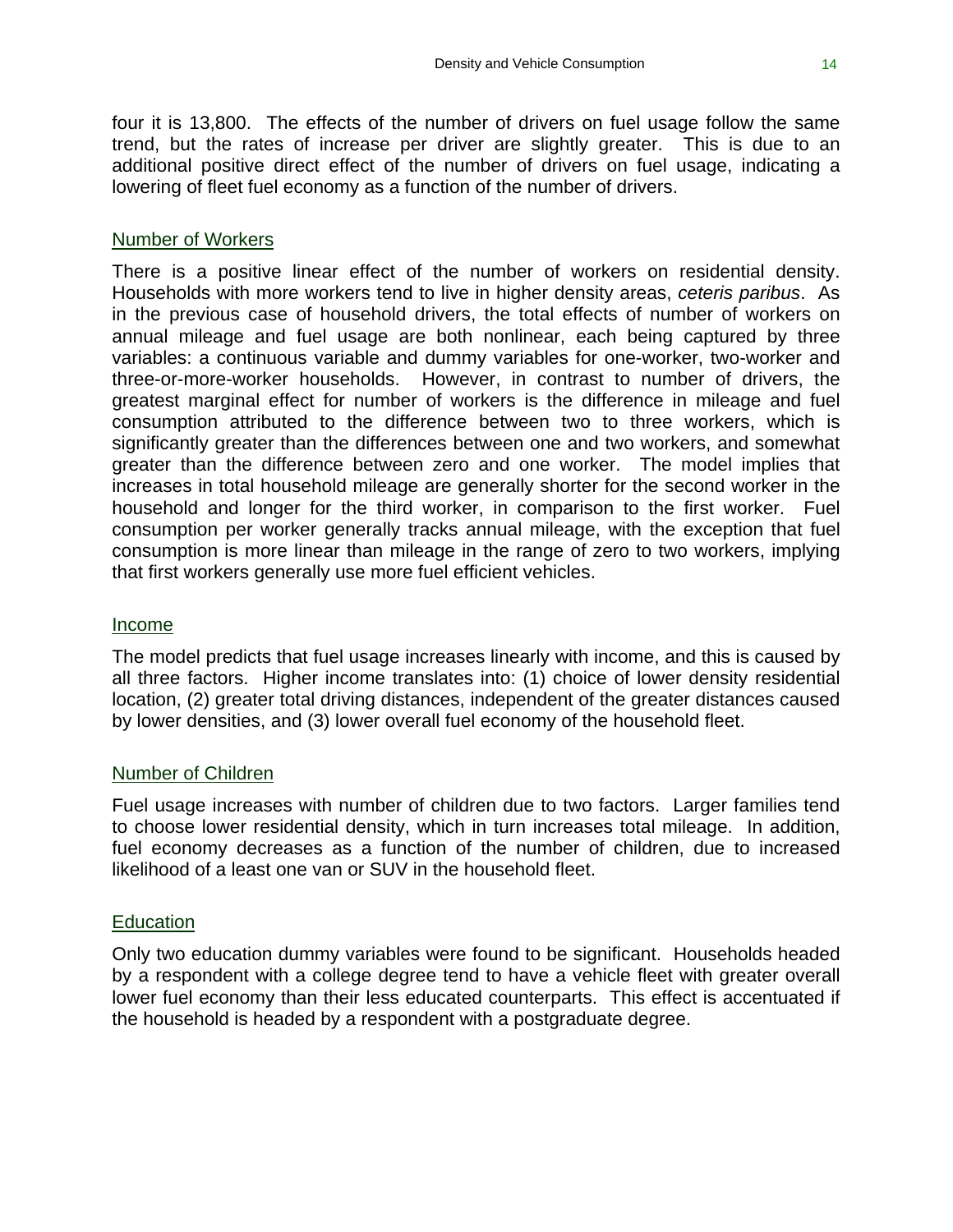four it is 13,800. The effects of the number of drivers on fuel usage follow the same trend, but the rates of increase per driver are slightly greater. This is due to an additional positive direct effect of the number of drivers on fuel usage, indicating a lowering of fleet fuel economy as a function of the number of drivers.

### Number of Workers

There is a positive linear effect of the number of workers on residential density. Households with more workers tend to live in higher density areas, *ceteris paribus*. As in the previous case of household drivers, the total effects of number of workers on annual mileage and fuel usage are both nonlinear, each being captured by three variables: a continuous variable and dummy variables for one-worker, two-worker and three-or-more-worker households. However, in contrast to number of drivers, the greatest marginal effect for number of workers is the difference in mileage and fuel consumption attributed to the difference between two to three workers, which is significantly greater than the differences between one and two workers, and somewhat greater than the difference between zero and one worker. The model implies that increases in total household mileage are generally shorter for the second worker in the household and longer for the third worker, in comparison to the first worker. Fuel consumption per worker generally tracks annual mileage, with the exception that fuel consumption is more linear than mileage in the range of zero to two workers, implying that first workers generally use more fuel efficient vehicles.

### Income

The model predicts that fuel usage increases linearly with income, and this is caused by all three factors. Higher income translates into: (1) choice of lower density residential location, (2) greater total driving distances, independent of the greater distances caused by lower densities, and (3) lower overall fuel economy of the household fleet.

### Number of Children

Fuel usage increases with number of children due to two factors. Larger families tend to choose lower residential density, which in turn increases total mileage. In addition, fuel economy decreases as a function of the number of children, due to increased likelihood of a least one van or SUV in the household fleet.

### **Education**

Only two education dummy variables were found to be significant. Households headed by a respondent with a college degree tend to have a vehicle fleet with greater overall lower fuel economy than their less educated counterparts. This effect is accentuated if the household is headed by a respondent with a postgraduate degree.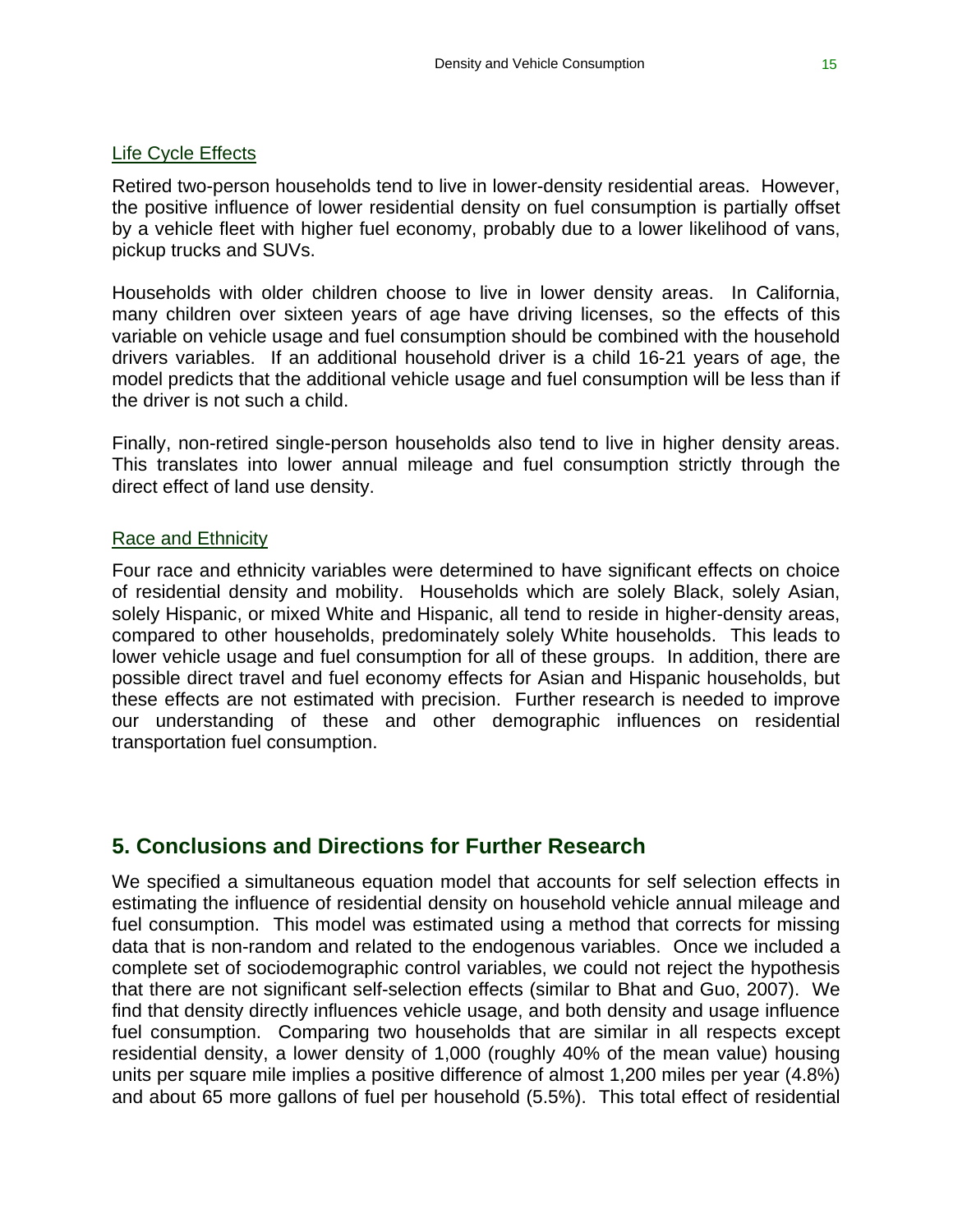Retired two-person households tend to live in lower-density residential areas. However, the positive influence of lower residential density on fuel consumption is partially offset by a vehicle fleet with higher fuel economy, probably due to a lower likelihood of vans, pickup trucks and SUVs.

Households with older children choose to live in lower density areas. In California, many children over sixteen years of age have driving licenses, so the effects of this variable on vehicle usage and fuel consumption should be combined with the household drivers variables. If an additional household driver is a child 16-21 years of age, the model predicts that the additional vehicle usage and fuel consumption will be less than if the driver is not such a child.

Finally, non-retired single-person households also tend to live in higher density areas. This translates into lower annual mileage and fuel consumption strictly through the direct effect of land use density.

### Race and Ethnicity

Four race and ethnicity variables were determined to have significant effects on choice of residential density and mobility. Households which are solely Black, solely Asian, solely Hispanic, or mixed White and Hispanic, all tend to reside in higher-density areas, compared to other households, predominately solely White households. This leads to lower vehicle usage and fuel consumption for all of these groups. In addition, there are possible direct travel and fuel economy effects for Asian and Hispanic households, but these effects are not estimated with precision. Further research is needed to improve our understanding of these and other demographic influences on residential transportation fuel consumption.

# **5. Conclusions and Directions for Further Research**

We specified a simultaneous equation model that accounts for self selection effects in estimating the influence of residential density on household vehicle annual mileage and fuel consumption. This model was estimated using a method that corrects for missing data that is non-random and related to the endogenous variables. Once we included a complete set of sociodemographic control variables, we could not reject the hypothesis that there are not significant self-selection effects (similar to Bhat and Guo, 2007). We find that density directly influences vehicle usage, and both density and usage influence fuel consumption. Comparing two households that are similar in all respects except residential density, a lower density of 1,000 (roughly 40% of the mean value) housing units per square mile implies a positive difference of almost 1,200 miles per year (4.8%) and about 65 more gallons of fuel per household (5.5%). This total effect of residential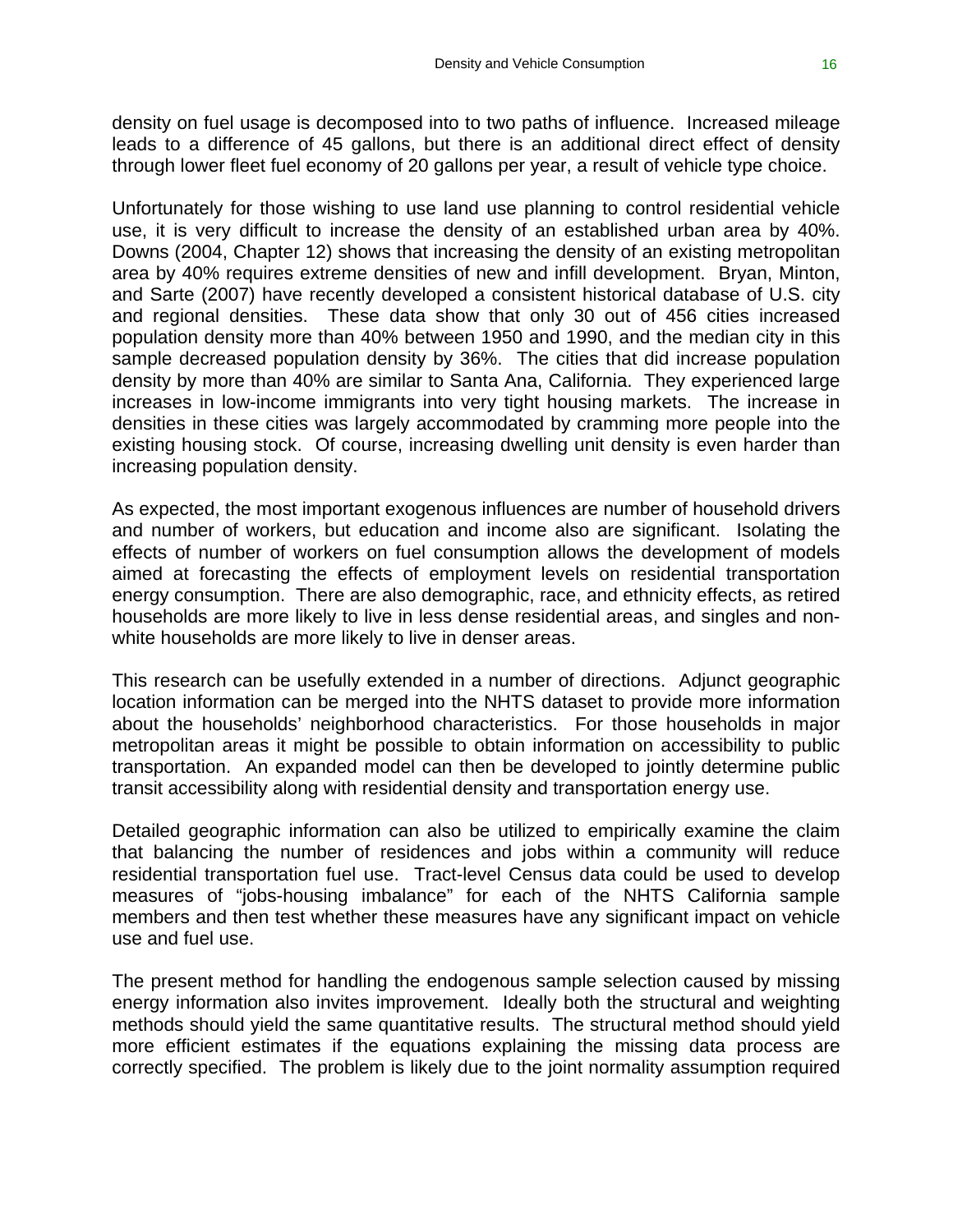density on fuel usage is decomposed into to two paths of influence. Increased mileage leads to a difference of 45 gallons, but there is an additional direct effect of density through lower fleet fuel economy of 20 gallons per year, a result of vehicle type choice.

Unfortunately for those wishing to use land use planning to control residential vehicle use, it is very difficult to increase the density of an established urban area by 40%. Downs (2004, Chapter 12) shows that increasing the density of an existing metropolitan area by 40% requires extreme densities of new and infill development. Bryan, Minton, and Sarte (2007) have recently developed a consistent historical database of U.S. city and regional densities. These data show that only 30 out of 456 cities increased population density more than 40% between 1950 and 1990, and the median city in this sample decreased population density by 36%. The cities that did increase population density by more than 40% are similar to Santa Ana, California. They experienced large increases in low-income immigrants into very tight housing markets. The increase in densities in these cities was largely accommodated by cramming more people into the existing housing stock. Of course, increasing dwelling unit density is even harder than increasing population density.

As expected, the most important exogenous influences are number of household drivers and number of workers, but education and income also are significant. Isolating the effects of number of workers on fuel consumption allows the development of models aimed at forecasting the effects of employment levels on residential transportation energy consumption. There are also demographic, race, and ethnicity effects, as retired households are more likely to live in less dense residential areas, and singles and nonwhite households are more likely to live in denser areas.

This research can be usefully extended in a number of directions. Adjunct geographic location information can be merged into the NHTS dataset to provide more information about the households' neighborhood characteristics. For those households in major metropolitan areas it might be possible to obtain information on accessibility to public transportation. An expanded model can then be developed to jointly determine public transit accessibility along with residential density and transportation energy use.

Detailed geographic information can also be utilized to empirically examine the claim that balancing the number of residences and jobs within a community will reduce residential transportation fuel use. Tract-level Census data could be used to develop measures of "jobs-housing imbalance" for each of the NHTS California sample members and then test whether these measures have any significant impact on vehicle use and fuel use.

The present method for handling the endogenous sample selection caused by missing energy information also invites improvement. Ideally both the structural and weighting methods should yield the same quantitative results. The structural method should yield more efficient estimates if the equations explaining the missing data process are correctly specified. The problem is likely due to the joint normality assumption required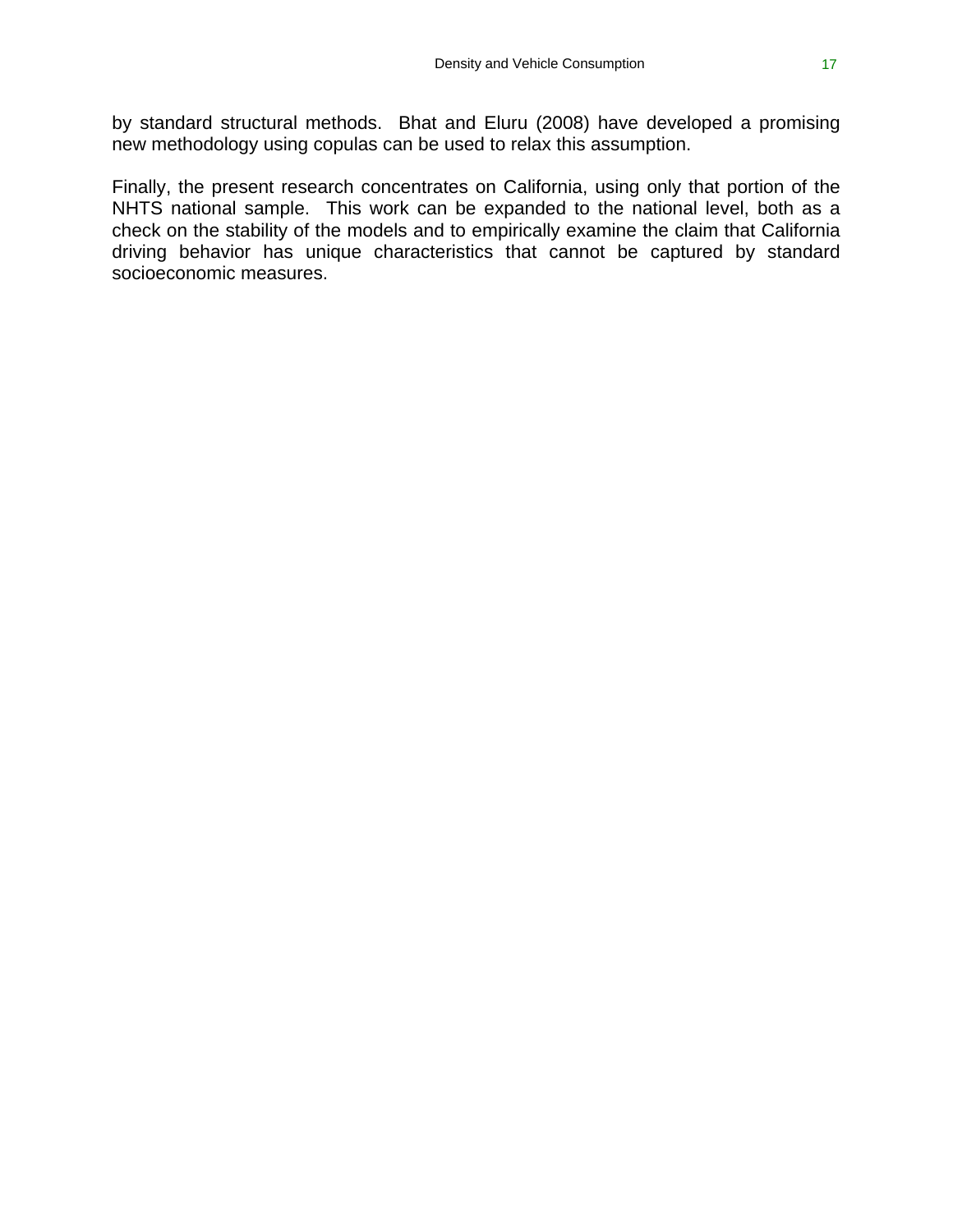by standard structural methods. Bhat and Eluru (2008) have developed a promising new methodology using copulas can be used to relax this assumption.

Finally, the present research concentrates on California, using only that portion of the NHTS national sample. This work can be expanded to the national level, both as a check on the stability of the models and to empirically examine the claim that California driving behavior has unique characteristics that cannot be captured by standard socioeconomic measures.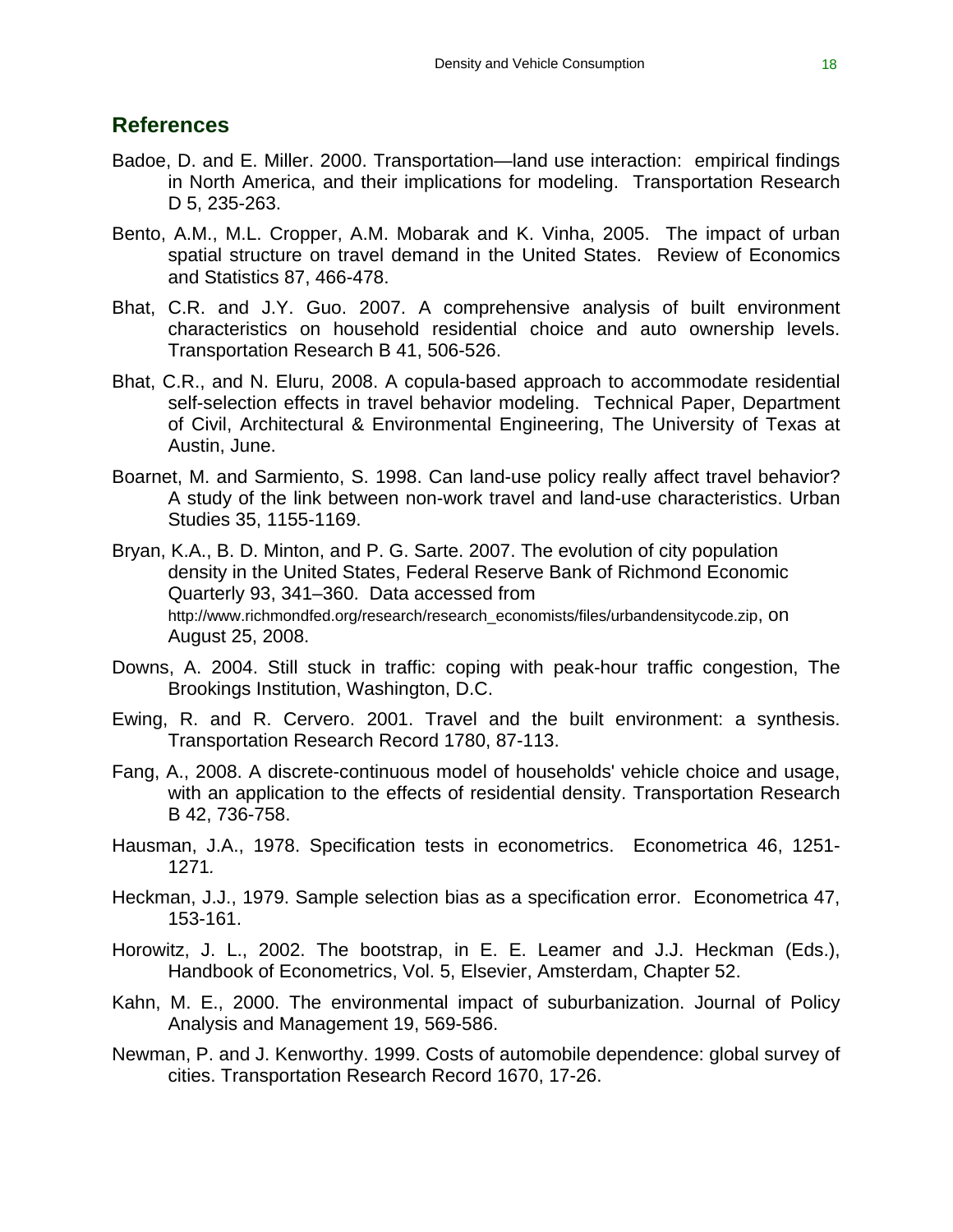### **References**

- Badoe, D. and E. Miller. 2000. Transportation—land use interaction: empirical findings in North America, and their implications for modeling. Transportation Research D 5, 235-263.
- Bento, A.M., M.L. Cropper, A.M. Mobarak and K. Vinha, 2005. The impact of urban spatial structure on travel demand in the United States. Review of Economics and Statistics 87, 466-478.
- Bhat, C.R. and J.Y. Guo. 2007. A comprehensive analysis of built environment characteristics on household residential choice and auto ownership levels. Transportation Research B 41, 506-526.
- Bhat, C.R., and N. Eluru, 2008. [A copula-based approach to accommodate residential](http://www.ce.utexas.edu/prof/bhat/Copula.html)  [self-selection effects in travel behavior modeling](http://www.ce.utexas.edu/prof/bhat/Copula.html). Technical Paper, Department of Civil, Architectural & Environmental Engineering, The University of Texas at Austin, June.
- Boarnet, M. and Sarmiento, S. 1998. Can land-use policy really affect travel behavior? A study of the link between non-work travel and land-use characteristics. Urban Studies 35, 1155-1169.
- Bryan, K.A., B. D. Minton, and P. G. Sarte. 2007. The evolution of city population density in the United States, Federal Reserve Bank of Richmond Economic Quarterly 93, 341–360. Data accessed from [http://www.richmondfed.org/research/research\\_economists/files/urbandensitycode.zip](http://www.richmondfed.org/research/research_economists/files/urbandensitycode.zip%20on%20August%2025), on August 25, 2008.
- Downs, A. 2004. Still stuck in traffic: coping with peak-hour traffic congestion, The Brookings Institution, Washington, D.C.
- Ewing, R. and R. Cervero. 2001. Travel and the built environment: a synthesis. Transportation Research Record 1780, 87-113.
- Fang, A., 2008. A discrete-continuous model of households' vehicle choice and usage, with an application to the effects of residential density. Transportation Research B 42, 736-758.
- Hausman, J.A., 1978. Specification tests in econometrics. Econometrica 46, 1251- 1271*.*
- Heckman, J.J., 1979. Sample selection bias as a specification error. Econometrica 47, 153-161.
- Horowitz, J. L., 2002. The bootstrap, in E. E. Leamer and J.J. Heckman (Eds.), Handbook of Econometrics, Vol. 5, Elsevier, Amsterdam, Chapter 52.
- Kahn, M. E., 2000. The environmental impact of suburbanization. Journal of Policy Analysis and Management 19, 569-586.
- Newman, P. and J. Kenworthy. 1999. Costs of automobile dependence: global survey of cities. Transportation Research Record 1670, 17-26.